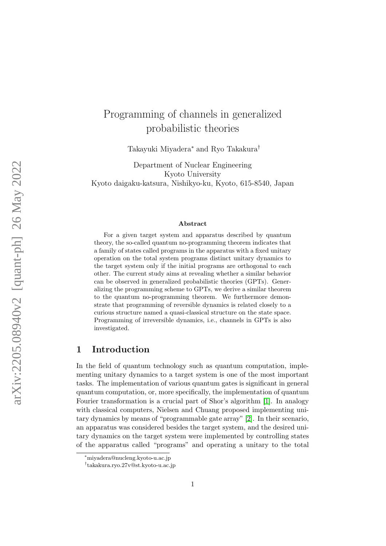# <span id="page-0-0"></span>Programming of channels in generalized probabilistic theories

Takayuki Miyadera<sup>∗</sup> and Ryo Takakura†

Department of Nuclear Engineering Kyoto University Kyoto daigaku-katsura, Nishikyo-ku, Kyoto, 615-8540, Japan

#### Abstract

For a given target system and apparatus described by quantum theory, the so-called quantum no-programming theorem indicates that a family of states called programs in the apparatus with a fixed unitary operation on the total system programs distinct unitary dynamics to the target system only if the initial programs are orthogonal to each other. The current study aims at revealing whether a similar behavior can be observed in generalized probabilistic theories (GPTs). Generalizing the programming scheme to GPTs, we derive a similar theorem to the quantum no-programming theorem. We furthermore demonstrate that programming of reversible dynamics is related closely to a curious structure named a quasi-classical structure on the state space. Programming of irreversible dynamics, i.e., channels in GPTs is also investigated.

## 1 Introduction

In the field of quantum technology such as quantum computation, implementing unitary dynamics to a target system is one of the most important tasks. The implementation of various quantum gates is significant in general quantum computation, or, more specifically, the implementation of quantum Fourier transformation is a crucial part of Shor's algorithm [\[1\]](#page-29-0). In analogy with classical computers, Nielsen and Chuang proposed implementing unitary dynamics by means of "programmable gate array" [\[2\]](#page-29-1). In their scenario, an apparatus was considered besides the target system, and the desired unitary dynamics on the target system were implemented by controlling states of the apparatus called "programs" and operating a unitary to the total

<sup>∗</sup>miyadera@nucleng.kyoto-u.ac.jp

<sup>†</sup> takakura.ryo.27v@st.kyoto-u.ac.jp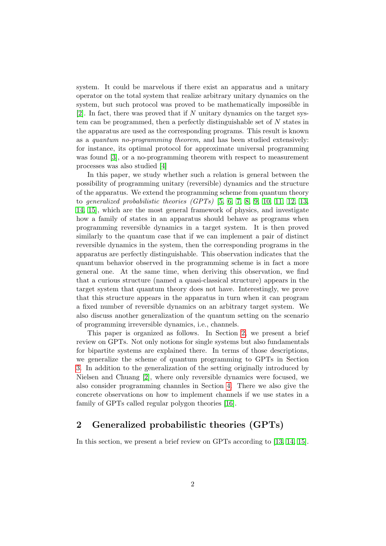system. It could be marvelous if there exist an apparatus and a unitary operator on the total system that realize arbitrary unitary dynamics on the system, but such protocol was proved to be mathematically impossible in [\[2\]](#page-29-1). In fact, there was proved that if  $N$  unitary dynamics on the target system can be programmed, then a perfectly distinguishable set of N states in the apparatus are used as the corresponding programs. This result is known as a quantum no-programming theorem, and has been studied extensively: for instance, its optimal protocol for approximate universal programming was found [\[3\]](#page-29-2), or a no-programming theorem with respect to measurement processes was also studied [\[4\]](#page-29-3)

In this paper, we study whether such a relation is general between the possibility of programming unitary (reversible) dynamics and the structure of the apparatus. We extend the programming scheme from quantum theory to generalized probabilistic theories  $(GPTs)$  [\[5,](#page-29-4) [6,](#page-29-5) [7,](#page-29-6) [8,](#page-29-7) [9,](#page-29-8) [10,](#page-29-9) [11,](#page-30-0) [12,](#page-30-1) [13,](#page-30-2) [14,](#page-30-3) [15\]](#page-30-4), which are the most general framework of physics, and investigate how a family of states in an apparatus should behave as programs when programming reversible dynamics in a target system. It is then proved similarly to the quantum case that if we can implement a pair of distinct reversible dynamics in the system, then the corresponding programs in the apparatus are perfectly distinguishable. This observation indicates that the quantum behavior observed in the programming scheme is in fact a more general one. At the same time, when deriving this observation, we find that a curious structure (named a quasi-classical structure) appears in the target system that quantum theory does not have. Interestingly, we prove that this structure appears in the apparatus in turn when it can program a fixed number of reversible dynamics on an arbitrary target system. We also discuss another generalization of the quantum setting on the scenario of programming irreversible dynamics, i.e., channels.

This paper is organized as follows. In Section [2,](#page-1-0) we present a brief review on GPTs. Not only notions for single systems but also fundamentals for bipartite systems are explained there. In terms of those descriptions, we generalize the scheme of quantum programming to GPTs in Section [3.](#page-5-0) In addition to the generalization of the setting originally introduced by Nielsen and Chuang [\[2\]](#page-29-1), where only reversible dynamics were focused, we also consider programming channles in Section [4.](#page-17-0) There we also give the concrete observations on how to implement channels if we use states in a family of GPTs called regular polygon theories [\[16\]](#page-30-5).

## <span id="page-1-0"></span>2 Generalized probabilistic theories (GPTs)

In this section, we present a brief review on GPTs according to [\[13,](#page-30-2) [14,](#page-30-3) [15\]](#page-30-4).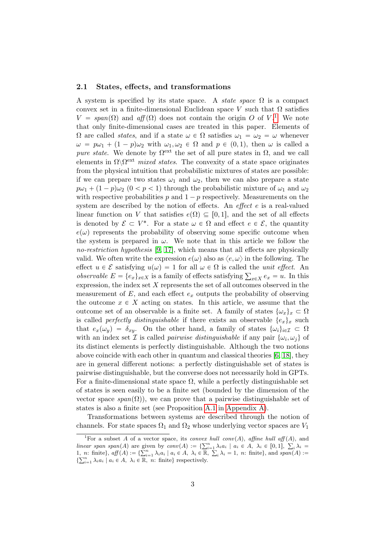### 2.1 States, effects, and transformations

A system is specified by its state space. A *state space*  $\Omega$  is a compact convex set in a finite-dimensional Euclidean space V such that  $\Omega$  satisfies  $V = span(\Omega)$  and  $aff(\Omega)$  does not contain the origin O of V.<sup>[1](#page-0-0)</sup> We note that only finite-dimensional cases are treated in this paper. Elements of  $Ω$  are called *states*, and if a state  $ω ∈ Ω$  satisfies  $ω_1 = ω_2 = ω$  whenever  $\omega = p\omega_1 + (1 - p)\omega_2$  with  $\omega_1, \omega_2 \in \Omega$  and  $p \in (0, 1)$ , then  $\omega$  is called a pure state. We denote by  $\Omega^{\text{ext}}$  the set of all pure states in  $\Omega$ , and we call elements in  $\Omega \backslash \Omega^{\text{ext}}$  mixed states. The convexity of a state space originates from the physical intuition that probabilistic mixtures of states are possible: if we can prepare two states  $\omega_1$  and  $\omega_2$ , then we can also prepare a state  $p\omega_1 + (1 - p)\omega_2$   $(0 < p < 1)$  through the probabilistic mixture of  $\omega_1$  and  $\omega_2$ with respective probabilities p and  $1 - p$  respectively. Measurements on the system are described by the notion of effects. An *effect* e is a real-valued linear function on V that satisfies  $e(\Omega) \subseteq [0, 1]$ , and the set of all effects is denoted by  $\mathcal{E} \subset V^*$ . For a state  $\omega \in \Omega$  and effect  $e \in \mathcal{E}$ , the quantity  $e(\omega)$  represents the probability of observing some specific outcome when the system is prepared in  $\omega$ . We note that in this article we follow the no-restriction hypothesis [\[9,](#page-29-8) [17\]](#page-30-6), which means that all effects are physically valid. We often write the expression  $e(\omega)$  also as  $\langle e, \omega \rangle$  in the following. The effect  $u \in \mathcal{E}$  satisfying  $u(\omega) = 1$  for all  $\omega \in \Omega$  is called the unit effect. An effect  $u \in \mathcal{E}$  satisfying  $u(\omega) = 1$  for all  $\omega \in \Omega$  is called the *unit effect*. An *observable*  $E = \{e_x\}_{x \in X}$  is a family of effects satisfying  $\sum_{x \in X} e_x = u$ . In this expression, the index set  $X$  represents the set of all outcomes observed in the measurement of  $E$ , and each effect  $e_x$  outputs the probability of observing the outcome  $x \in X$  acting on states. In this article, we assume that the outcome set of an observable is a finite set. A family of states  $\{\omega_x\}_x \subset \Omega$ is called *perfectly distinguishable* if there exists an observable  $\{e_x\}_x$  such that  $e_x(\omega_y) = \delta_{xy}$ . On the other hand, a family of states  $\{\omega_i\}_{i \in \mathcal{I}} \subset \Omega$ with an index set  $\mathcal I$  is called *pairwise distinguishable* if any pair  $\{\omega_i, \omega_j\}$  of its distinct elements is perfectly distinguishable. Although the two notions above coincide with each other in quantum and classical theories [\[6,](#page-29-5) [18\]](#page-30-7), they are in general different notions: a perfectly distinguishable set of states is pairwise distinguishable, but the converse does not necessarily hold in GPTs. For a finite-dimensional state space  $\Omega$ , while a perfectly distinguishable set of states is seen easily to be a finite set (bounded by the dimension of the vector space span $(\Omega)$ , we can prove that a pairwise distinguishable set of states is also a finite set (see Proposition [A.1](#page-24-0) in [Appendix A\)](#page-24-1).

Transformations between systems are described through the notion of channels. For state spaces  $\Omega_1$  and  $\Omega_2$  whose underlying vector spaces are  $V_1$ 

<sup>&</sup>lt;sup>1</sup>For a subset A of a vector space, its *convex hull conv(A)*, affine hull aff  $(A)$ , and For a subset A of a vector space, its *convex hull conv*(A), affine hull aff (A), and<br>
linear span span(A) are given by  $conv(A) := \sum_{i=1}^{n} \lambda_i a_i \mid a_i \in A$ ,  $\lambda_i \in [0,1]$ ,  $\sum_i \lambda_i =$ <br>
1, n: finite}, aff (A) :=  $\sum_{i=1}^{n} \lambda_i a_i \mid a_i$  $i_{i} \lambda_{i} = 1$ , n: finite}, and span(A) := 1, *n*: finite},  $a_{jj}(A) := \sum_{i=1}^{\infty} \lambda_i a_i \mid a_i \in A$ ,  $\lambda_i \in \mathbb{R}$ <br> $\sum_{i=1}^{\infty} \lambda_i a_i \mid a_i \in A$ ,  $\lambda_i \in \mathbb{R}$ , *n*: finite} respectively.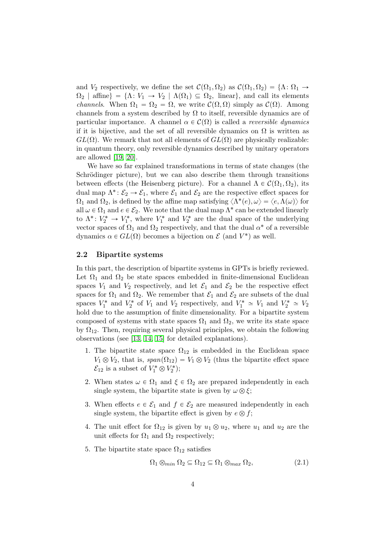and  $V_2$  respectively, we define the set  $\mathcal{C}(\Omega_1, \Omega_2)$  as  $\mathcal{C}(\Omega_1, \Omega_2) = \{ \Lambda : \Omega_1 \to \Omega_2 \}$  $\Omega_2$  | affine} =  $\{\Lambda: V_1 \to V_2 \mid \Lambda(\Omega_1) \subseteq \Omega_2$ , linear, and call its elements *channels.* When  $\Omega_1 = \Omega_2 = \Omega$ , we write  $\mathcal{C}(\Omega, \Omega)$  simply as  $\mathcal{C}(\Omega)$ . Among channels from a system described by  $\Omega$  to itself, reversible dynamics are of particular importance. A channel  $\alpha \in \mathcal{C}(\Omega)$  is called a *reversible dynamics* if it is bijective, and the set of all reversible dynamics on  $\Omega$  is written as  $GL(\Omega)$ . We remark that not all elements of  $GL(\Omega)$  are physically realizable: in quantum theory, only reversible dynamics described by unitary operators are allowed [\[19,](#page-30-8) [20\]](#page-30-9).

We have so far explained transformations in terms of state changes (the Schrödinger picture), but we can also describe them through transitions between effects (the Heisenberg picture). For a channel  $\Lambda \in \mathcal{C}(\Omega_1, \Omega_2)$ , its dual map  $\Lambda^*: \mathcal{E}_2 \to \mathcal{E}_1$ , where  $\mathcal{E}_1$  and  $\mathcal{E}_2$  are the respective effect spaces for  $\Omega_1$  and  $\Omega_2$ , is defined by the affine map satisfying  $\langle \Lambda^*(e), \omega \rangle = \langle e, \Lambda(\omega) \rangle$  for all  $\omega \in \Omega_1$  and  $e \in \mathcal{E}_2$ . We note that the dual map  $\Lambda^*$  can be extended linearly to  $\Lambda^*: V_2^* \to V_1^*$ , where  $V_1^*$  and  $V_2^*$  are the dual space of the underlying vector spaces of  $\Omega_1$  and  $\Omega_2$  respectively, and that the dual  $\alpha^*$  of a reversible dynamics  $\alpha \in GL(\Omega)$  becomes a bijection on  $\mathcal E$  (and  $V^*$ ) as well.

## 2.2 Bipartite systems

In this part, the description of bipartite systems in GPTs is briefly reviewed. Let  $\Omega_1$  and  $\Omega_2$  be state spaces embedded in finite-dimensional Euclidean spaces  $V_1$  and  $V_2$  respectively, and let  $\mathcal{E}_1$  and  $\mathcal{E}_2$  be the respective effect spaces for  $\Omega_1$  and  $\Omega_2$ . We remember that  $\mathcal{E}_1$  and  $\mathcal{E}_2$  are subsets of the dual spaces  $V_1^*$  and  $V_2^*$  of  $V_1$  and  $V_2$  respectively, and  $V_1^* \simeq V_1$  and  $V_2^* \simeq V_2$ hold due to the assumption of finite dimensionality. For a bipartite system composed of systems with state spaces  $\Omega_1$  and  $\Omega_2$ , we write its state space by  $\Omega_{12}$ . Then, requiring several physical principles, we obtain the following observations (see [\[13,](#page-30-2) [14,](#page-30-3) [15\]](#page-30-4) for detailed explanations).

- 1. The bipartite state space  $\Omega_{12}$  is embedded in the Euclidean space  $V_1 \otimes V_2$ , that is,  $span(\Omega_{12}) = V_1 \otimes V_2$  (thus the bipartite effect space  $\mathcal{E}_{12}$  is a subset of  $V_1^* \otimes V_2^*$ ;
- 2. When states  $\omega \in \Omega_1$  and  $\xi \in \Omega_2$  are prepared independently in each single system, the bipartite state is given by  $\omega \otimes \xi$ ;
- 3. When effects  $e \in \mathcal{E}_1$  and  $f \in \mathcal{E}_2$  are measured independently in each single system, the bipartite effect is given by  $e \otimes f$ ;
- 4. The unit effect for  $\Omega_{12}$  is given by  $u_1 \otimes u_2$ , where  $u_1$  and  $u_2$  are the unit effects for  $\Omega_1$  and  $\Omega_2$  respectively;
- 5. The bipartite state space  $\Omega_{12}$  satisfies

$$
\Omega_1 \otimes_{min} \Omega_2 \subseteq \Omega_{12} \subseteq \Omega_1 \otimes_{max} \Omega_2,\tag{2.1}
$$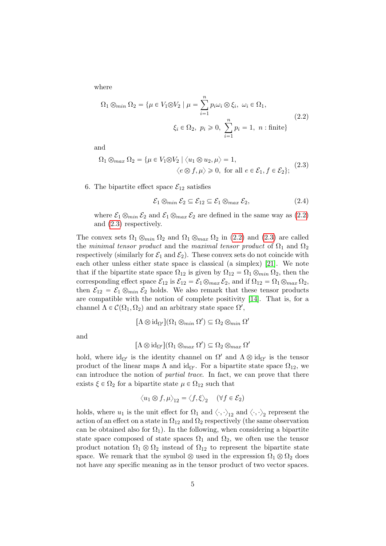where

<span id="page-4-0"></span>
$$
\Omega_1 \otimes_{min} \Omega_2 = \{ \mu \in V_1 \otimes V_2 \mid \mu = \sum_{i=1}^n p_i \omega_i \otimes \xi_i, \ \omega_i \in \Omega_1, \xi_i \in \Omega_2, \ p_i \ge 0, \ \sum_{i=1}^n p_i = 1, \ n : \text{finite} \}
$$
\n(2.2)

and

<span id="page-4-1"></span>
$$
\Omega_1 \otimes_{max} \Omega_2 = \{ \mu \in V_1 \otimes V_2 \mid \langle u_1 \otimes u_2, \mu \rangle = 1, \langle e \otimes f, \mu \rangle \ge 0, \text{ for all } e \in \mathcal{E}_1, f \in \mathcal{E}_2 \};
$$
 (2.3)

6. The bipartite effect space  $\mathcal{E}_{12}$  satisfies

$$
\mathcal{E}_1 \otimes_{min} \mathcal{E}_2 \subseteq \mathcal{E}_{12} \subseteq \mathcal{E}_1 \otimes_{max} \mathcal{E}_2,\tag{2.4}
$$

where  $\mathcal{E}_1 \otimes_{min} \mathcal{E}_2$  and  $\mathcal{E}_1 \otimes_{max} \mathcal{E}_2$  are defined in the same way as [\(2.2\)](#page-4-0) and [\(2.3\)](#page-4-1) respectively.

The convex sets  $\Omega_1 \otimes_{min} \Omega_2$  and  $\Omega_1 \otimes_{max} \Omega_2$  in [\(2.2\)](#page-4-0) and [\(2.3\)](#page-4-1) are called the minimal tensor product and the maximal tensor product of  $\Omega_1$  and  $\Omega_2$ respectively (similarly for  $\mathcal{E}_1$  and  $\mathcal{E}_2$ ). These convex sets do not coincide with each other unless either state space is classical (a simplex) [\[21\]](#page-30-10). We note that if the bipartite state space  $\Omega_{12}$  is given by  $\Omega_{12} = \Omega_1 \otimes_{min} \Omega_2$ , then the corresponding effect space  $\mathcal{E}_{12}$  is  $\mathcal{E}_{12} = \mathcal{E}_1 \otimes_{max} \mathcal{E}_2$ , and if  $\Omega_{12} = \Omega_1 \otimes_{max} \Omega_2$ , then  $\mathcal{E}_{12} = \mathcal{E}_1 \otimes_{min} \mathcal{E}_2$  holds. We also remark that these tensor products are compatible with the notion of complete positivity [\[14\]](#page-30-3). That is, for a channel  $\Lambda \in \mathcal{C}(\Omega_1, \Omega_2)$  and an arbitrary state space  $\Omega'$ ,

$$
[\Lambda \otimes \mathrm{id}_{\Omega'}](\Omega_1 \otimes_{min} \Omega') \subseteq \Omega_2 \otimes_{min} \Omega'
$$

and

$$
[\Lambda \otimes \mathrm{id}_{\Omega'}] (\Omega_1 \otimes_{max} \Omega') \subseteq \Omega_2 \otimes_{max} \Omega'
$$

hold, where  $id_{\Omega'}$  is the identity channel on  $\Omega'$  and  $\Lambda \otimes id_{\Omega'}$  is the tensor product of the linear maps  $\Lambda$  and id<sub> $\Omega'$ </sub>. For a bipartite state space  $\Omega_{12}$ , we can introduce the notion of partial trace. In fact, we can prove that there exists  $\xi \in \Omega_2$  for a bipartite state  $\mu \in \Omega_{12}$  such that

$$
\langle u_1 \otimes f, \mu \rangle_{12} = \langle f, \xi \rangle_2 \quad (\forall f \in \mathcal{E}_2)
$$

holds, where  $u_1$  is the unit effect for  $\Omega_1$  and  $\langle \cdot, \cdot \rangle_1$  and  $\langle \cdot, \cdot \rangle_2$  represent the action of an effect on a state in  $\Omega_{12}$  and  $\Omega_2$  respectively (the same observation can be obtained also for  $\Omega_1$ ). In the following, when considering a bipartite state space composed of state spaces  $\Omega_1$  and  $\Omega_2$ , we often use the tensor product notation  $\Omega_1 \otimes \Omega_2$  instead of  $\Omega_{12}$  to represent the bipartite state space. We remark that the symbol  $\otimes$  used in the expression  $\Omega_1 \otimes \Omega_2$  does not have any specific meaning as in the tensor product of two vector spaces.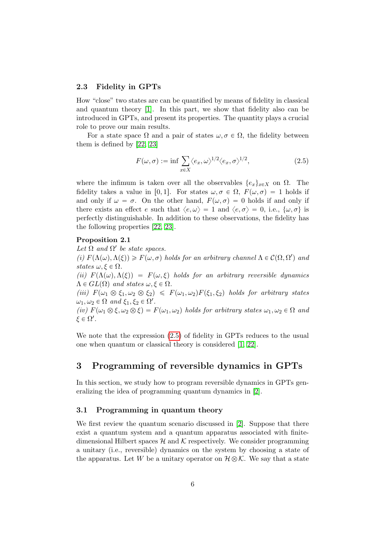## 2.3 Fidelity in GPTs

How "close" two states are can be quantified by means of fidelity in classical and quantum theory [\[1\]](#page-29-0). In this part, we show that fidelity also can be introduced in GPTs, and present its properties. The quantity plays a crucial role to prove our main results.

For a state space  $\Omega$  and a pair of states  $\omega, \sigma \in \Omega$ , the fidelity between them is defined by [\[22,](#page-30-11) [23\]](#page-30-12)

<span id="page-5-2"></span><span id="page-5-1"></span>
$$
F(\omega, \sigma) := \inf \sum_{x \in X} \langle e_x, \omega \rangle^{1/2} \langle e_x, \sigma \rangle^{1/2}, \tag{2.5}
$$

where the infimum is taken over all the observables  $\{e_x\}_{x\in X}$  on  $\Omega$ . The fidelity takes a value in [0,1]. For states  $\omega, \sigma \in \Omega$ ,  $F(\omega, \sigma) = 1$  holds if and only if  $\omega = \sigma$ . On the other hand,  $F(\omega, \sigma) = 0$  holds if and only if there exists an effect e such that  $\langle e, \omega \rangle = 1$  and  $\langle e, \sigma \rangle = 0$ , i.e.,  $\{\omega, \sigma\}$  is perfectly distinguishable. In addition to these observations, the fidelity has the following properties [\[22,](#page-30-11) [23\]](#page-30-12).

#### Proposition 2.1

Let  $\Omega$  and  $\Omega'$  be state spaces. (i)  $F(\Lambda(\omega), \Lambda(\xi)) \geq F(\omega, \sigma)$  holds for an arbitrary channel  $\Lambda \in \mathcal{C}(\Omega, \Omega')$  and states  $\omega, \xi \in \Omega$ . (ii)  $F(\Lambda(\omega), \Lambda(\xi)) = F(\omega, \xi)$  holds for an arbitrary reversible dynamics  $\Lambda \in GL(\Omega)$  and states  $\omega, \xi \in \Omega$ . (iii)  $F(\omega_1 \otimes \xi_1, \omega_2 \otimes \xi_2) \leq F(\omega_1, \omega_2)F(\xi_1, \xi_2)$  holds for arbitrary states  $\omega_1, \omega_2 \in \Omega$  and  $\xi_1, \xi_2 \in \Omega'.$ (iv)  $F(\omega_1 \otimes \xi, \omega_2 \otimes \xi) = F(\omega_1, \omega_2)$  holds for arbitrary states  $\omega_1, \omega_2 \in \Omega$  and  $\xi \in \Omega'.$ 

We note that the expression [\(2.5\)](#page-5-1) of fidelity in GPTs reduces to the usual one when quantum or classical theory is considered [\[1,](#page-29-0) [22\]](#page-30-11).

## <span id="page-5-0"></span>3 Programming of reversible dynamics in GPTs

In this section, we study how to program reversible dynamics in GPTs generalizing the idea of programming quantum dynamics in [\[2\]](#page-29-1).

## 3.1 Programming in quantum theory

We first review the quantum scenario discussed in [\[2\]](#page-29-1). Suppose that there exist a quantum system and a quantum apparatus associated with finitedimensional Hilbert spaces  $\mathcal H$  and  $\mathcal K$  respectively. We consider programming a unitary (i.e., reversible) dynamics on the system by choosing a state of the apparatus. Let W be a unitary operator on  $\mathcal{H}\otimes\mathcal{K}$ . We say that a state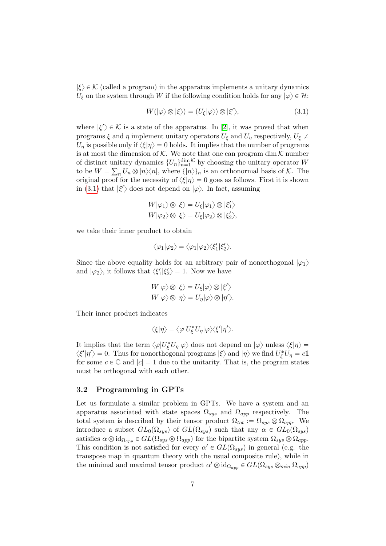$|\xi\rangle \in \mathcal{K}$  (called a program) in the apparatus implements a unitary dynamics  $U_{\xi}$  on the system through W if the following condition holds for any  $|\varphi\rangle \in \mathcal{H}$ :

<span id="page-6-0"></span>
$$
W(|\varphi\rangle \otimes |\xi\rangle) = (U_{\xi}|\varphi\rangle) \otimes |\xi'\rangle, \tag{3.1}
$$

where  $|\xi'\rangle \in \mathcal{K}$  is a state of the apparatus. In [\[2\]](#page-29-1), it was proved that when programs  $\xi$  and  $\eta$  implement unitary operators  $U_{\xi}$  and  $U_{\eta}$  respectively,  $U_{\xi} \neq$  $U_n$  is possible only if  $\langle \xi | \eta \rangle = 0$  holds. It implies that the number of programs is at most the dimension of  $K$ . We note that one can program dim  $K$  number of distinct unitary dynamics  $\{U_n\}_{n=1}^{\dim K}$  by choosing the unitary operator W to be  $W = \sum_n U_n \otimes |n\rangle\langle n|$ , where  $\{|n\rangle\}_n$  is an orthonormal basis of K. The original proof for the necessity of  $\langle \xi | \eta \rangle = 0$  goes as follows. First it is shown in [\(3.1\)](#page-6-0) that  $|\xi'\rangle$  does not depend on  $|\varphi\rangle$ . In fact, assuming

$$
W|\varphi_1\rangle \otimes |\xi\rangle = U_{\xi}|\varphi_1\rangle \otimes |\xi'_1\rangle
$$
  

$$
W|\varphi_2\rangle \otimes |\xi\rangle = U_{\xi}|\varphi_2\rangle \otimes |\xi'_2\rangle,
$$

we take their inner product to obtain

$$
\langle \varphi_1 | \varphi_2 \rangle = \langle \varphi_1 | \varphi_2 \rangle \langle \xi_1' | \xi_2' \rangle.
$$

Since the above equality holds for an arbitrary pair of nonorthogonal  $|\varphi_1\rangle$ and  $|\varphi_2\rangle$ , it follows that  $\langle \xi'_1 | \xi'_2 \rangle = 1$ . Now we have

$$
W|\varphi\rangle \otimes |\xi\rangle = U_{\xi}|\varphi\rangle \otimes |\xi'\rangle
$$
  

$$
W|\varphi\rangle \otimes |\eta\rangle = U_{\eta}|\varphi\rangle \otimes |\eta'\rangle.
$$

Their inner product indicates

$$
\langle \xi | \eta \rangle = \langle \varphi | U_{\xi}^* U_{\eta} | \varphi \rangle \langle \xi' | \eta' \rangle.
$$

It implies that the term  $\langle \varphi | U_{\xi}^{*} U_{\eta} | \varphi \rangle$  does not depend on  $| \varphi \rangle$  unless  $\langle \xi | \eta \rangle =$  $\langle \xi' | \eta' \rangle = 0$ . Thus for nonorthogonal programs  $|\xi\rangle$  and  $|\eta\rangle$  we find  $U_{\xi}^* U_{\eta} = c \mathbb{1}$ for some  $c \in \mathbb{C}$  and  $|c| = 1$  due to the unitarity. That is, the program states must be orthogonal with each other.

## 3.2 Programming in GPTs

Let us formulate a similar problem in GPTs. We have a system and an apparatus associated with state spaces  $\Omega_{sys}$  and  $\Omega_{app}$  respectively. The total system is described by their tensor product  $\Omega_{tot} := \Omega_{sys} \otimes \Omega_{app}$ . We introduce a subset  $GL_0(\Omega_{sys})$  of  $GL(\Omega_{sus})$  such that any  $\alpha \in GL_0(\Omega_{sus})$ satisfies  $\alpha \otimes id_{\Omega_{app}} \in GL(\Omega_{sys} \otimes \Omega_{app})$  for the bipartite system  $\Omega_{sys} \otimes \Omega_{app}$ . This condition is not satisfied for every  $\alpha' \in GL(\Omega_{sys})$  in general (e.g. the transpose map in quantum theory with the usual composite rule), while in the minimal and maximal tensor product  $\alpha' \otimes id_{\Omega_{app}} \in GL(\Omega_{sys} \otimes_{min} \Omega_{app})$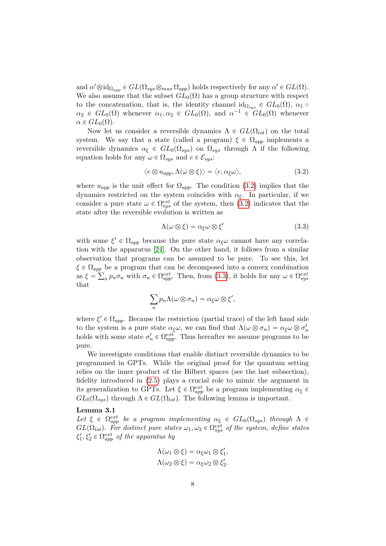and  $\alpha' \otimes \mathrm{id}_{\Omega_{app}} \in GL(\Omega_{sys} \otimes_{max} \Omega_{app})$  holds respectively for any  $\alpha' \in GL(\Omega)$ . We also assume that the subset  $GL_0(\Omega)$  has a group structure with respect to the concatenation, that is, the identity channel id<sub>Ωsys</sub>  $\in GL_0(\Omega)$ ,  $\alpha_1 \circ$  $\alpha_2 \in GL_0(\Omega)$  whenever  $\alpha_1, \alpha_2 \in GL_0(\Omega)$ , and  $\alpha^{-1} \in GL_0(\Omega)$  whenever  $\alpha \in GL_0(\Omega)$ .

Now let us consider a reversible dynamics  $\Lambda \in GL(\Omega_{tot})$  on the total system. We say that a state (called a program)  $\xi \in \Omega_{app}$  implements a reversible dynamics  $\alpha_{\xi} \in GL_0(\Omega_{sys})$  on  $\Omega_{sys}$  through  $\Lambda$  if the following equation holds for any  $\omega \in \Omega_{sys}$  and  $e \in \mathcal{E}_{sys}$ :

$$
\langle e \otimes u_{app}, \Lambda(\omega \otimes \xi) \rangle = \langle e, \alpha_{\xi}\omega \rangle, \tag{3.2}
$$

where  $u_{app}$  is the unit effect for  $\Omega_{app}$ . The condition [\(3.2\)](#page-7-0) implies that the dynamics restricted on the system coincides with  $\alpha_{\xi}$ . In particular, if we consider a pure state  $\omega \in \Omega_{sys}^{ext}$  of the system, then [\(3.2\)](#page-7-0) indicates that the state after the reversible evolution is written as

<span id="page-7-1"></span><span id="page-7-0"></span>
$$
\Lambda(\omega \otimes \xi) = \alpha_{\xi}\omega \otimes \xi'
$$
\n(3.3)

with some  $\xi' \in \Omega_{app}$  because the pure state  $\alpha_{\xi}\omega$  cannot have any correlation with the apparatus [\[24\]](#page-31-0). On the other hand, it follows from a similar observation that programs can be assumed to be pure. To see this, let  $\xi \in \Omega_{app}$  be a program that can be decomposed into a convex combination as  $\xi = \sum_n p_n \sigma_n$  with  $\sigma_n \in \Omega_{app}^{ext}$ . Then, from [\(3.3\)](#page-7-1), it holds for any  $\omega \in \Omega_{sys}^{ext}$ that

$$
\sum_n p_n \Lambda(\omega \otimes \sigma_n) = \alpha_{\xi} \omega \otimes \xi',
$$

where  $\xi' \in \Omega_{app}$ . Because the restriction (partial trace) of the left hand side to the system is a pure state  $\alpha_{\xi}\omega$ , we can find that  $\Lambda(\omega\otimes \sigma_n) = \alpha_{\xi}\omega \otimes \sigma'_n$ holds with some state  $\sigma'_n \in \Omega_{app}^{ext}$ . Thus hereafter we assume programs to be pure.

We investigate conditions that enable distinct reversible dynamics to be programmed in GPTs. While the original proof for the quantum setting relies on the inner product of the Hilbert spaces (see the last subsection), fidelity introduced in [\(2.5\)](#page-5-1) plays a crucial role to mimic the argument in its generalization to GPTs. Let  $\xi \in \Omega_{app}^{ext}$  be a program implementing  $\alpha_{\xi} \in$  $GL_0(\Omega_{sys})$  through  $\Lambda \in GL(\Omega_{tot})$ . The following lemma is important.

## Lemma 3.1

Let  $\xi \in \Omega_{app}^{ext}$  be a program implementing  $\alpha_{\xi} \in GL_0(\Omega_{sys})$  through  $\Lambda \in$  $GL(\Omega_{tot})$ . For distinct pure states  $\omega_1, \omega_2 \in \Omega_{sys}^{ext}$  of the system, define states  $\xi_1', \xi_2' \in \Omega_{app}^{ext}$  of the apparatus by

<span id="page-7-2"></span>
$$
\Lambda(\omega_1 \otimes \xi) = \alpha_{\xi}\omega_1 \otimes \xi'_1, \n\Lambda(\omega_2 \otimes \xi) = \alpha_{\xi}\omega_2 \otimes \xi'_2.
$$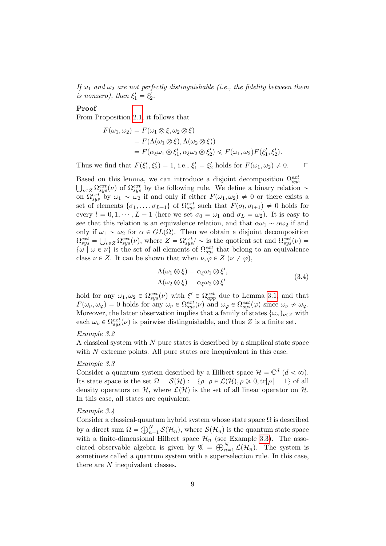If  $\omega_1$  and  $\omega_2$  are not perfectly distinguishable (i.e., the fidelity between them is nonzero), then  $\xi_1' = \xi_2'$ .

#### Proof

From Proposition [2.1,](#page-5-2) it follows that

$$
F(\omega_1, \omega_2) = F(\omega_1 \otimes \xi, \omega_2 \otimes \xi)
$$
  
=  $F(\Lambda(\omega_1 \otimes \xi), \Lambda(\omega_2 \otimes \xi))$   
=  $F(\alpha_{\xi}\omega_1 \otimes \xi'_1, \alpha_{\xi}\omega_2 \otimes \xi'_2) \leq F(\omega_1, \omega_2)F(\xi'_1, \xi'_2).$ 

Thus we find that  $F(\xi'_1, \xi'_2) = 1$ , i.e.,  $\xi'_1 = \xi'_2$  holds for  $F(\omega_1, \omega_2) \neq 0$ .  $\Box$ 

Based on this lemma, we can introduce a disjoint decomposition  $\Omega_{sys}^{ext}$  $\log Z \Omega_{sys}^{ext}(\nu)$  of  $\Omega_{sys}^{ext}$  by the following rule. We define a binary relation  $\sim$ on  $\Omega_{sys}^{ext}$  by  $\omega_1 \sim \omega_2$  if and only if either  $F(\omega_1, \omega_2) \neq 0$  or there exists a set of elements  $\{\sigma_1, \ldots, \sigma_{L-1}\}\$  of  $\Omega_{sys}^{ext}$  such that  $F(\sigma_l, \sigma_{l+1}) \neq 0$  holds for every  $l = 0, 1, \dots, L - 1$  (here we set  $\sigma_0 = \omega_1$  and  $\sigma_L = \omega_2$ ). It is easy to see that this relation is an equivalence relation, and that  $\alpha\omega_1 \sim \alpha\omega_2$  if and only if  $\omega_1 \sim \omega_2$  for  $\alpha \in GL(\Omega)$ . Then we obtain a disjoint decomposition  $\Omega_{sys}^{ext} = \bigcup_{\nu \in Z} \Omega_{sys}^{ext}(\nu)$ , where  $Z = \Omega_{sys}^{ext}/\sim$  is the quotient set and  $\Omega_{sys}^{ext}(\nu) =$  $\{\omega \mid \omega \in \nu\}$  is the set of all elements of  $\Omega_{sys}^{ext}$  that belong to an equivalence class  $\nu \in Z$ . It can be shown that when  $\nu, \varphi \in Z$   $(\nu \neq \varphi)$ ,

<span id="page-8-1"></span>
$$
\Lambda(\omega_1 \otimes \xi) = \alpha_{\xi}\omega_1 \otimes \xi',
$$
  
\n
$$
\Lambda(\omega_2 \otimes \xi) = \alpha_{\xi}\omega_2 \otimes \xi'
$$
\n(3.4)

hold for any  $\omega_1, \omega_2 \in \Omega_{sys}^{ext}(\nu)$  with  $\xi' \in \Omega_{app}^{ext}$  due to Lemma [3.1,](#page-7-2) and that  $F(\omega_{\nu}, \omega_{\varphi}) = 0$  holds for any  $\omega_{\nu} \in \Omega_{sys}^{ext}(\nu)$  and  $\omega_{\varphi} \in \Omega_{sys}^{ext}(\varphi)$  since  $\omega_{\nu} \nsim \omega_{\varphi}$ . Moreover, the latter observation implies that a family of states  $\{\omega_{\nu}\}_{\nu\in\mathbb{Z}}$  with each  $\omega_{\nu} \in \Omega_{sys}^{ext}(\nu)$  is pairwise distinguishable, and thus Z is a finite set.

#### Example 3.2

A classical system with N pure states is described by a simplical state space with  $N$  extreme points. All pure states are inequivalent in this case.

#### <span id="page-8-0"></span>Example 3.3

Consider a quantum system described by a Hilbert space  $\mathcal{H} = \mathbb{C}^d$   $(d < \infty)$ . Its state space is the set  $\Omega = \mathcal{S}(\mathcal{H}) := \{\rho | \rho \in \mathcal{L}(\mathcal{H}), \rho \geq 0, \text{tr}[\rho] = 1\}$  of all density operators on H, where  $\mathcal{L}(\mathcal{H})$  is the set of all linear operator on H. In this case, all states are equivalent.

## <span id="page-8-2"></span>Example 3.4

<span id="page-8-3"></span>Consider a classical-quantum hybrid system whose state space  $\Omega$  is described Consider a classical-quality a direct sum  $\Omega = \bigoplus_{n=1}^{N}$  $\int_{n=1}^{N} \mathcal{S}(\mathcal{H}_n)$ , where  $\mathcal{S}(\mathcal{H}_n)$  is the quantum state space with a finite-dimensional Hilbert space  $\mathcal{H}_n$  (see Example [3.3\)](#page-8-0). The associated observable algebra is given by  $\mathfrak{A} = \bigcirc^N \mathcal{L}(1)$ . The gyptom is ciated observable algebra is given by  $\mathfrak{A} = \bigoplus_{n=1}^{N} \mathcal{L}(\mathcal{H}_n)$ . The system is sometimes called a quantum system with a superselection rule. In this case, there are N inequivalent classes.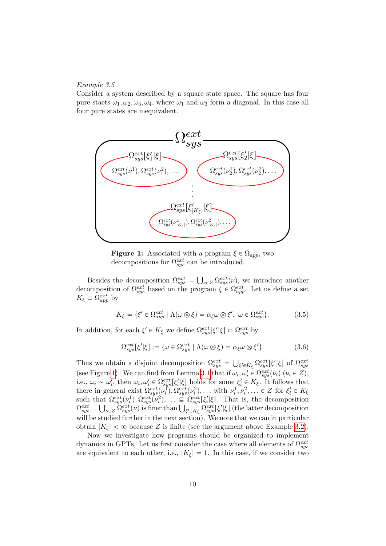#### Example 3.5

Consider a system described by a square state space. The square has four pure staets  $\omega_1, \omega_2, \omega_3, \omega_4$ , where  $\omega_1$  and  $\omega_3$  form a diagonal. In this case all four pure states are inequivalent.

<span id="page-9-0"></span>

**Figure 1:** Associated with a program  $\xi \in \Omega_{app}$ , two decompositions for  $\Omega_{sys}^{ext}$  can be introduced.

Besides the decomposition  $\Omega_{sys}^{ext} =$  $\log Z \Omega_{sys}^{ext}(\nu)$ , we introduce another decomposition of  $\Omega_{sys}^{ext}$  based on the program  $\xi \in \Omega_{app}^{ext}$ . Let us define a set  $K_{\xi} \subset \Omega_{app}^{ext}$  by

$$
K_{\xi} = \{\xi' \in \Omega_{app}^{ext} \mid \Lambda(\omega \otimes \xi) = \alpha_{\xi}\omega \otimes \xi', \ \omega \in \Omega_{sys}^{ext}\}.
$$
 (3.5)

In addition, for each  $\xi' \in K_{\xi}$  we define  $\Omega_{sys}^{ext}[\xi'|\xi] \subset \Omega_{sys}^{ext}$  by

$$
\Omega_{sys}^{ext}[\xi'|\xi] := \{ \omega \in \Omega_{sys}^{ext} \mid \Lambda(\omega \otimes \xi) = \alpha_{\xi} \omega \otimes \xi' \}.
$$
 (3.6)

Thus we obtain a disjoint decomposition  $\Omega_{sys}^{ext}$  = ξ' $\epsilon K_{\xi}$  Ω $_{sys}^{ext}[\xi'|\xi]$  of Ω $_{sys}^{ext}$ (see Figure [1\)](#page-9-0). We can find from Lemma [3.1](#page-7-2) that if  $\omega_i, \omega'_i \in \Omega_{sys}^{ext}(\nu_i)$   $(\nu_i \in Z)$ , i i.e.,  $\omega_i \sim \omega'_i$ , then  $\omega_i, \omega'_i \in \Omega_{sys}^{ext}[\xi'_i|\xi]$  holds for some  $\xi'_i \in K_{\xi}$ . It follows that there in general exist  $\Omega_{sys}^{ext}(\nu_i^1), \Omega_{sys}^{ext}(\nu_i^2), \ldots$  with  $\nu_i^1, \nu_i^2, \ldots \in Z$  for  $\xi_i' \in K_{\xi}$ such that  $\Omega_{sys}^{ext}(\nu_i^1), \Omega_{sys}^{ext}(\nu_i^2), \ldots \subseteq \Omega_{sys}^{ext}[\xi_i'|\xi]$ . That is, the decomposition  $\Omega_{sys}^{ext}=$  $at$  $\mathcal{L}_{sys}^{V_{c}U_{t}^{L}}(\nu_{i}^{L}), \mathcal{L}_{sys}^{C_{sys}}(\nu_{i}^{L}), \dots \subseteq \mathcal{L}_{sys}^{C_{sys}}[\xi'_{i}|\xi].$  That is, the decomposition  $\bigcup_{\xi \in K_{\xi}} \Omega_{sys}^{ext}[\xi'|\xi]$  (the latter decomposition will be studied further in the next section). We note that we can in particular obtain  $|K_{\xi}| < \infty$  because Z is finite (see the argument above Example [3.2\)](#page-8-1).

Now we investigate how programs should be organized to implement dynamics in GPTs. Let us first consider the case where all elements of  $\Omega_{sys}^{ext}$ are equivalent to each other, i.e.,  $|K_{\xi}| = 1$ . In this case, if we consider two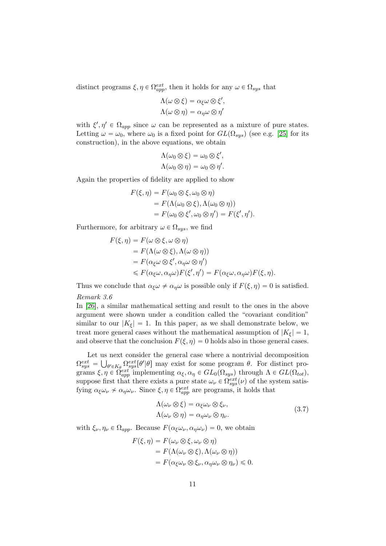distinct programs  $\xi, \eta \in \Omega_{app}^{ext}$ , then it holds for any  $\omega \in \Omega_{sys}$  that

$$
\Lambda(\omega \otimes \xi) = \alpha_{\xi}\omega \otimes \xi',
$$
  

$$
\Lambda(\omega \otimes \eta) = \alpha_{\eta}\omega \otimes \eta'
$$

with  $\xi', \eta' \in \Omega_{app}$  since  $\omega$  can be represented as a mixture of pure states. Letting  $\omega = \omega_0$ , where  $\omega_0$  is a fixed point for  $GL(\Omega_{sys})$  (see e.g. [\[25\]](#page-31-1) for its construction), in the above equations, we obtain

$$
\Lambda(\omega_0 \otimes \xi) = \omega_0 \otimes \xi',
$$
  

$$
\Lambda(\omega_0 \otimes \eta) = \omega_0 \otimes \eta'.
$$

Again the properties of fidelity are applied to show

$$
F(\xi, \eta) = F(\omega_0 \otimes \xi, \omega_0 \otimes \eta)
$$
  
=  $F(\Lambda(\omega_0 \otimes \xi), \Lambda(\omega_0 \otimes \eta))$   
=  $F(\omega_0 \otimes \xi', \omega_0 \otimes \eta') = F(\xi', \eta').$ 

Furthermore, for arbitrary  $\omega \in \Omega_{sys}$ , we find

$$
F(\xi, \eta) = F(\omega \otimes \xi, \omega \otimes \eta)
$$
  
=  $F(\Lambda(\omega \otimes \xi), \Lambda(\omega \otimes \eta))$   
=  $F(\alpha_{\xi}\omega \otimes \xi', \alpha_{\eta}\omega \otimes \eta')$   
 $\leq F(\alpha_{\xi}\omega, \alpha_{\eta}\omega)F(\xi', \eta') = F(\alpha_{\xi}\omega, \alpha_{\eta}\omega)F(\xi, \eta).$ 

Thus we conclude that  $\alpha_{\xi}\omega \neq \alpha_{\eta}\omega$  is possible only if  $F(\xi, \eta) = 0$  is satisfied. Remark 3.6

In [\[26\]](#page-31-2), a similar mathematical setting and result to the ones in the above argument were shown under a condition called the "covariant condition" similar to our  $|K_{\xi}| = 1$ . In this paper, as we shall demonstrate below, we treat more general cases without the mathematical assumption of  $|K<sub>f</sub>| = 1$ , and observe that the conclusion  $F(\xi, \eta) = 0$  holds also in those general cases.

Let us next consider the general case where a nontrivial decomposition  $\Omega_{sys}^{ext} = \bigcup_{\theta' \in K_{\theta}} \Omega_{sys}^{ext}[\theta'|\theta]$  may exist for some program  $\theta$ . For distinct programs  $\xi, \eta \in \Omega_{app}^{ext}$  implementing  $\alpha_{\xi}, \alpha_{\eta} \in GL_0(\Omega_{sys})$  through  $\Lambda \in GL(\Omega_{tot}),$ suppose first that there exists a pure state  $\omega_{\nu} \in \Omega_{sys}^{ext}(\nu)$  of the system satisfying  $\alpha_{\xi}\omega_{\nu} \nsim \alpha_{\eta}\omega_{\nu}$ . Since  $\xi, \eta \in \Omega_{app}^{ext}$  are programs, it holds that

<span id="page-10-0"></span>
$$
\Lambda(\omega_{\nu} \otimes \xi) = \alpha_{\xi} \omega_{\nu} \otimes \xi_{\nu}, \Lambda(\omega_{\nu} \otimes \eta) = \alpha_{\eta} \omega_{\nu} \otimes \eta_{\nu}.
$$
\n(3.7)

with  $\xi_{\nu}, \eta_{\nu} \in \Omega_{app}$ . Because  $F(\alpha_{\xi} \omega_{\nu}, \alpha_{\eta} \omega_{\nu}) = 0$ , we obtain

$$
F(\xi, \eta) = F(\omega_{\nu} \otimes \xi, \omega_{\nu} \otimes \eta)
$$
  
= 
$$
F(\Lambda(\omega_{\nu} \otimes \xi), \Lambda(\omega_{\nu} \otimes \eta))
$$
  
= 
$$
F(\alpha_{\xi}\omega_{\nu} \otimes \xi_{\nu}, \alpha_{\eta}\omega_{\nu} \otimes \eta_{\nu}) \leq 0.
$$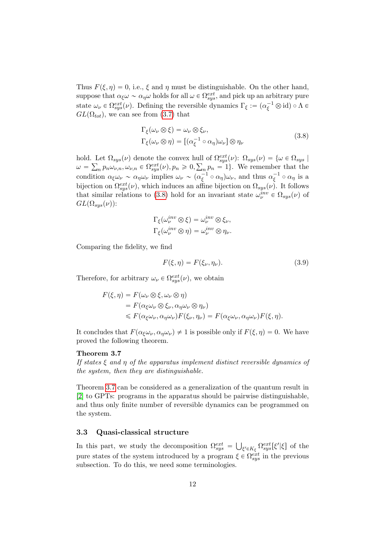Thus  $F(\xi, \eta) = 0$ , i.e.,  $\xi$  and  $\eta$  must be distinguishable. On the other hand, suppose that  $\alpha_{\xi}\omega \sim \alpha_{\eta}\omega$  holds for all  $\omega \in \Omega_{sys}^{ext}$ , and pick up an arbitrary pure state  $\omega_{\nu} \in \Omega_{sys}^{ext}(\nu)$ . Defining the reversible dynamics  $\Gamma_{\xi} := (\alpha_{\xi}^{-1} \otimes id) \circ \Lambda \in$  $GL(\Omega_{tot})$ , we can see from [\(3.7\)](#page-10-0) that

<span id="page-11-0"></span>
$$
\Gamma_{\xi}(\omega_{\nu}\otimes\xi) = \omega_{\nu}\otimes\xi_{\nu},
$$
\n
$$
\Gamma_{\xi}(\omega_{\nu}\otimes\eta) = [(\alpha_{\xi}^{-1}\circ\alpha_{\eta})\omega_{\nu}]\otimes\eta_{\nu}
$$
\n(3.8)

hold. Let  $\Omega_{sys}(\nu)$  denote the convex hull of  $\Omega_{sys}^{ext}(\nu)$ :  $\Omega_{sys}(\nu) = \{ \omega \in \Omega_{sys} \mid \}$  $\omega = \sum_n p_n \omega_{\nu,n}, \omega_{\nu,n} \in \Omega_{sys}^{ext}(\nu), p_n \geqslant 0, \sum_n p_n = 1$ . We remember that the condition  $\alpha_{\xi}\omega_{\nu} \sim \alpha_{\eta}\omega_{\nu}$  implies  $\omega_{\nu} \sim (\alpha_{\xi}^{-1} \circ \alpha_{\eta})\omega_{\nu}$ , and thus  $\alpha_{\xi}^{-1} \circ \alpha_{\eta}$  is a bijection on  $\Omega_{sys}^{ext}(\nu)$ , which induces an affine bijection on  $\Omega_{sys}(\nu)$ . It follows that similar relations to [\(3.8\)](#page-11-0) hold for an invariant state  $\omega_{\nu}^{inv} \in \Omega_{sys}(\nu)$  of  $GL(\Omega_{sys}(\nu))$ :

$$
\Gamma_{\xi}(\omega_{\nu}^{inv}\otimes \xi) = \omega_{\nu}^{inv}\otimes \xi_{\nu},
$$
  

$$
\Gamma_{\xi}(\omega_{\nu}^{inv}\otimes \eta) = \omega_{\nu}^{inv}\otimes \eta_{\nu}.
$$

Comparing the fidelity, we find

<span id="page-11-1"></span>
$$
F(\xi, \eta) = F(\xi_{\nu}, \eta_{\nu}).\tag{3.9}
$$

Therefore, for arbitrary  $\omega_{\nu} \in \Omega_{sys}^{ext}(\nu)$ , we obtain

$$
F(\xi, \eta) = F(\omega_{\nu} \otimes \xi, \omega_{\nu} \otimes \eta)
$$
  
=  $F(\alpha_{\xi}\omega_{\nu} \otimes \xi_{\nu}, \alpha_{\eta}\omega_{\nu} \otimes \eta_{\nu})$   
 $\leq F(\alpha_{\xi}\omega_{\nu}, \alpha_{\eta}\omega_{\nu})F(\xi_{\nu}, \eta_{\nu}) = F(\alpha_{\xi}\omega_{\nu}, \alpha_{\eta}\omega_{\nu})F(\xi, \eta).$ 

It concludes that  $F(\alpha_{\xi}\omega_{\nu}, \alpha_{\eta}\omega_{\nu}) \neq 1$  is possible only if  $F(\xi, \eta) = 0$ . We have proved the following theorem.

## Theorem 3.7

If states  $\xi$  and  $\eta$  of the apparatus implement distinct reversible dynamics of the system, then they are distinguishable.

Theorem [3.7](#page-11-1) can be considered as a generalization of the quantum result in [\[2\]](#page-29-1) to GPTs: programs in the apparatus should be pairwise distinguishable, and thus only finite number of reversible dynamics can be programmed on the system.

#### 3.3 Quasi-classical structure

In this part, we study the decomposition  $\Omega_{sys}^{ext}$  =  $\left[\xi'\epsilon K_{\xi}\ \Omega_{sys}^{ext}[\xi'|\xi]\right]$  of the pure states of the system introduced by a program  $\xi \in \Omega_{sys}^{ext}$  in the previous subsection. To do this, we need some terminologies.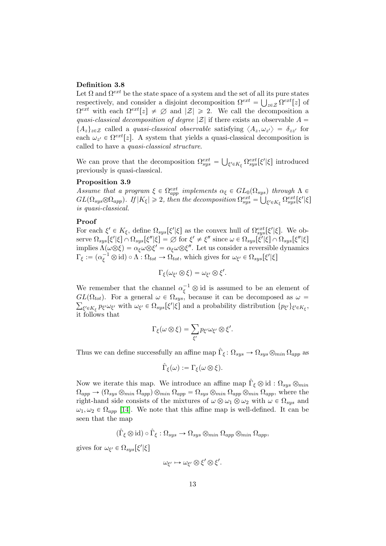#### Definition 3.8

Let  $\Omega$  and  $\Omega^{ext}$  be the state space of a system and the set of all its pure states respectively, and consider a disjoint decomposition  $\Omega^{ext} = \bigcup_{z \in \mathcal{Z}} \Omega^{ext}[z]$  of  $\Omega^{ext}$  with each  $\Omega^{ext}[z] \neq \emptyset$  and  $|\mathcal{Z}| \geq 2$ . We call the decomposition a quasi-classical decomposition of degree  $|\mathcal{Z}|$  if there exists an observable  $A =$  $\{A_z\}_{z\in\mathcal{Z}}$  called a quasi-classical observable satisfying  $\langle A_z, \omega_{z'} \rangle = \delta_{zz'}$  for each  $\omega_{z'} \in \Omega^{ext}[z]$ . A system that yields a quasi-classical decomposition is called to have a quasi-classical structure.

We can prove that the decomposition  $\Omega_{sys}^{ext} =$  $\left[\xi'\in K_{\xi}\Omega_{sys}^{ext}[\xi'|\xi]\right]$  introduced previously is quasi-classical.

#### Proposition 3.9

Assume that a program  $\xi \in \Omega_{app}^{ext}$  implements  $\alpha_{\xi} \in GL_0(\Omega_{sys})$  through  $\Lambda \in$  $GL(\Omega_{sys} \otimes \Omega_{app})$ . If  $|K_{\xi}| \geqslant 2$ , then the decomposition  $\Omega_{sys}^{ext} =$  $y_{s}$  $\vert_{\xi'\in K_{\xi}}\,\Omega_{sys}^{ext}[\xi'|\xi]$ is quasi-classical.

#### Proof

For each  $\xi' \in K_{\xi}$ , define  $\Omega_{sys}[\xi'|\xi]$  as the convex hull of  $\Omega_{sys}^{ext}[\xi'|\xi]$ . We observe  $\Omega_{sys}[\xi'|\xi] \cap \Omega_{sys}[\xi''|\xi] = \varnothing$  for  $\xi' \neq \xi''$  since  $\omega \in \Omega_{sys}[\xi'|\xi] \cap \Omega_{sys}[\xi''|\xi]$ implies  $\Lambda(\omega\otimes \xi) = \alpha_{\xi}\omega\otimes \xi' = \alpha_{\xi}\omega\otimes \xi''$ . Let us consider a reversible dynamics  $\Gamma_{\xi} := (\alpha_{\xi}^{-1} \otimes id) \circ \Lambda : \Omega_{tot} \to \Omega_{tot}$ , which gives for  $\omega_{\xi'} \in \Omega_{sys}[\xi'|\xi]$ 

$$
\Gamma_{\xi}(\omega_{\xi'}\otimes \xi)=\omega_{\xi'}\otimes \xi'.
$$

We remember that the channel  $\alpha_{\xi}^{-1} \otimes id$  is assumed to be an element of  $GL(\Omega_{tot})$ . For a general  $\omega \in \Omega_{sys}$ , because it can be decomposed as  $\omega =$  $\zeta' \in K_{\xi}$   $p_{\xi'} \omega_{\xi'}$  with  $\omega_{\xi'} \in \Omega_{sys}[\xi'|\xi]$  and a probability distribution  $\{p_{\xi'}\}_{\xi' \in K_{\xi}}$ , it follows that

$$
\Gamma_{\xi}(\omega\otimes\xi)=\sum_{\xi'}p_{\xi'}\omega_{\xi'}\otimes\xi'.
$$

Thus we can define successfully an affine map  $\hat{\Gamma}_{\xi} \colon \Omega_{sys} \to \Omega_{sys} \otimes_{min} \Omega_{app}$  as

$$
\hat{\Gamma}_{\xi}(\omega) := \Gamma_{\xi}(\omega \otimes \xi).
$$

Now we iterate this map. We introduce an affine map  $\hat{\Gamma}_{\xi} \otimes id : \Omega_{sys} \otimes_{min}$  $\Omega_{app} \rightarrow (\Omega_{sys} \otimes_{min} \Omega_{app}) \otimes_{min} \Omega_{app} = \Omega_{sys} \otimes_{min} \Omega_{app} \otimes_{min} \Omega_{app}$ , where the right-hand side consists of the mixtures of  $\omega \otimes \omega_1 \otimes \omega_2$  with  $\omega \in \Omega_{sys}$  and  $\omega_1, \omega_2 \in \Omega_{app}$  [\[14\]](#page-30-3). We note that this affine map is well-defined. It can be seen that the map

$$
(\hat{\Gamma}_{\xi}\otimes id) \circ \hat{\Gamma}_{\xi} : \Omega_{sys} \to \Omega_{sys} \otimes_{min} \Omega_{app} \otimes_{min} \Omega_{app},
$$

gives for  $\omega_{\xi'} \in \Omega_{sys}[\xi'|\xi]$ 

$$
\omega_{\xi'} \mapsto \omega_{\xi'} \otimes \xi' \otimes \xi'.
$$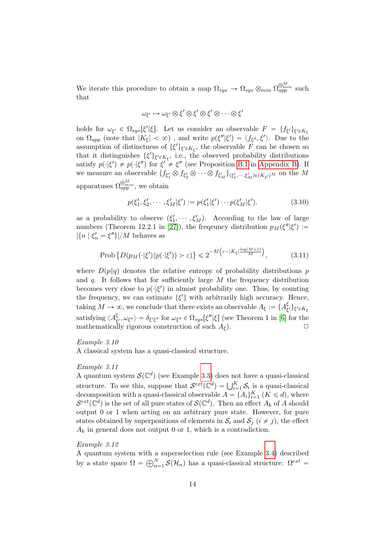We iterate this procedure to obtain a map  $\Omega_{sys} \to \Omega_{sys} \otimes_{min} \Omega_{app}^{\otimes_{min}^{M}}$  such that

$$
\omega_{\xi'} \mapsto \omega_{\xi'} \otimes \xi' \otimes \xi' \otimes \xi' \otimes \cdots \otimes \xi'
$$

holds for  $\omega_{\xi'} \in \Omega_{sys}[\xi'|\xi]$ . Let us consider an observable  $F = \{f_{\xi'}\}_{\xi' \in K_{\xi}}$ on  $\Omega_{app}$  (note that  $|K_{\xi}| < \infty$ ), and write  $p(\xi''|\xi') = \langle f_{\xi''}, \xi' \rangle$ . Due to the assumption of distinctness of  $\{\xi'\}_{\xi'\in K_{\xi}}$ , the observable F can be chosen so that it distinguishes  $\{\xi'\}_{\xi'\in K_{\xi}}$ , i.e., the observed probability distributions satisfy  $p(\cdot|\xi') \neq p(\cdot|\xi'')$  for  $\xi' \neq \xi''$  (see Proposition [B.1](#page-25-0) in [Appendix B\)](#page-25-1). If we measure an observable  $\{f_{\xi_1'}\otimes f_{\xi_2'}\otimes\cdots\otimes f_{\xi_M'}\}_{(\xi_1',\cdots,\xi_M')\in (K_{\xi'})^M}$  on the M apparatuses  $\Omega_{app}^{\otimes_{min}^M}$ , we obtain

$$
p(\xi'_1, \xi'_2, \cdots, \xi'_M | \xi') := p(\xi'_1 | \xi') \cdots p(\xi'_M | \xi'). \tag{3.10}
$$

as a probability to observe  $(\xi'_1, \dots, \xi'_M)$ . According to the law of large numbers (Theorem 12.2.1 in [\[27\]](#page-31-3)), the frequency distribution  $p_M(\xi'|\xi') :=$  $|\{n \mid \xi_n' = \xi''\}|/M$  behaves as

$$
\text{Prob}\left\{D(p_M(\cdot|\xi')\|p(\cdot|\xi')) > \varepsilon)\right\} \leq 2^{-M\left(\varepsilon - |K_{\xi}| \frac{\log(M+1)}{M}\right)},\tag{3.11}
$$

where  $D(p||q)$  denotes the relative entropy of probability distributions p and  $q$ . It follows that for sufficiently large  $M$  the frequency distribution becomes very close to  $p(\cdot|\xi')$  in almost probability one. Thus, by counting the frequency, we can estimate  $\{\xi'\}\$  with arbitrarily high accuracy. Hence, taking  $M \to \infty$ , we conclude that there exists an observable  $A_{\xi} := \{A_{\xi}^{\xi}$  $\{\xi'\}$ ξ' $\in K_{\xi}$ satisfying  $\langle A_{\xi}^{\xi} \rangle$  $\frac{\xi}{\xi'}, \omega_{\xi''}$   $\rangle = \delta_{\xi'\xi''}$  for  $\omega_{\xi''} \in \Omega_{sys}[\xi''|\xi]$  (see Theorem 1 in [\[6\]](#page-29-5) for the mathematically rigorous construction of such  $A_{\xi}$ ).

#### Example 3.10

A classical system has a quasi-classical structure.

#### Example 3.11

A quantum system  $\mathcal{S}(\mathbb{C}^d)$  (see Example [3.3\)](#page-8-0) does not have a quasi-classical A quantum system  $\mathcal{S}(\mathcal{C})$  (see Example 5.5) does not have a quasi-classical<br>structure. To see this, suppose that  $\mathcal{S}^{ext}(\mathcal{C}^d) = \bigcup_{i=1}^K \mathcal{S}_i$  is a quasi-classical decomposition with a quasi-classical observable  $A = \{A_i\}_{i=1}^K$   $(K \le d)$ , where  $\mathcal{S}^{ext}(\mathbb{C}^d)$  is the set of all pure states of  $\mathcal{S}(\mathbb{C}^d)$ . Then an effect  $A_k$  of A should output 0 or 1 when acting on an arbitrary pure state. However, for pure states obtained by superpositions of elements in  $S_i$  and  $S_j$   $(i \neq j)$ , the effect  $A_k$  in general does not output 0 or 1, which is a contradiction.

### Example 3.12

A quantum system with a superselection rule (see Example [3.4\)](#page-8-2) described A quantum system with a<br>by a state space  $\Omega = \bigoplus_{n=1}^{N}$  $_{n=1}^{N}$  S( $\mathcal{H}_n$ ) has a quasi-classical structure:  $\Omega^{ext}$  =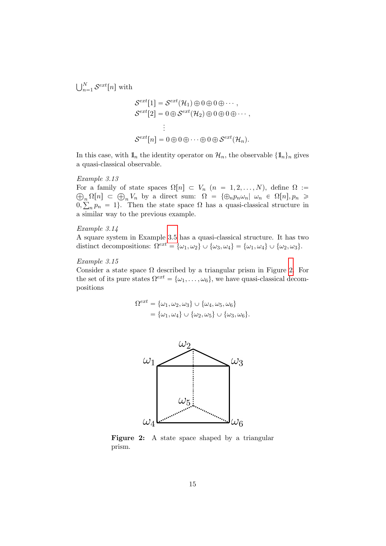$\overline{N}$  $_{n=1}^N$   $\mathcal{S}^{ext}[n]$  with

$$
\mathcal{S}^{ext}[1] = \mathcal{S}^{ext}(\mathcal{H}_1) \oplus 0 \oplus 0 \oplus \cdots ,
$$
  

$$
\mathcal{S}^{ext}[2] = 0 \oplus \mathcal{S}^{ext}(\mathcal{H}_2) \oplus 0 \oplus 0 \oplus \cdots ,
$$
  

$$
\vdots
$$
  

$$
\mathcal{S}^{ext}[n] = 0 \oplus 0 \oplus \cdots \oplus 0 \oplus \mathcal{S}^{ext}(\mathcal{H}_n).
$$

In this case, with  $\mathbb{1}_n$  the identity operator on  $\mathcal{H}_n$ , the observable  $\{\mathbb{1}_n\}_n$  gives a quasi-classical observable.

#### Example 3.13

For a family of state spaces  $\Omega[n] \subset V_n$   $(n = 1, 2, ..., N)$ , define  $\Omega :=$ r a tamily of state spaces  $\Omega[n] \subset V_n$   $(n = 1, 2, ..., N)$ , define  $\Omega :=$ <br>  $\Omega[n] \subset \bigoplus_n V_n$  by a direct sum:  $\Omega = {\bigoplus_n p_n \omega_n | \omega_n \in \Omega[n], p_n \geq 0\bigcap_{n=1}^{\infty} p_n}$ 0,  $n$  $n p_n = 1$ . Then the state space  $\Omega$  has a quasi-classical structure in a similar way to the previous example.

#### Example 3.14

A square system in Example [3.5](#page-8-3) has a quasi-classical structure. It has two distinct decompositions:  $\Omega^{ext} = {\omega_1, \omega_2} \cup {\omega_3, \omega_4} = {\omega_1, \omega_4} \cup {\omega_2, \omega_3}.$ 

## <span id="page-14-1"></span>Example 3.15

Consider a state space  $\Omega$  described by a triangular prism in Figure [2.](#page-14-0) For the set of its pure states  $\Omega^{ext} = {\omega_1, \ldots, \omega_6}$ , we have quasi-classical decompositions

$$
\Omega^{ext} = {\omega_1, \omega_2, \omega_3} \cup {\omega_4, \omega_5, \omega_6}
$$
  
= {\omega\_1, \omega\_4} \cup {\omega\_2, \omega\_5} \cup {\omega\_3, \omega\_6}.

<span id="page-14-0"></span>

Figure 2: A state space shaped by a triangular prism.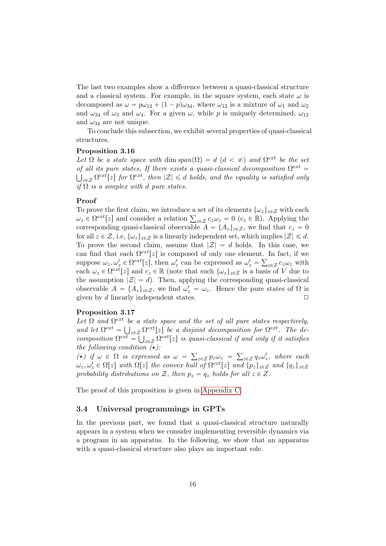The last two examples show a difference between a quasi-classical structure and a classical system. For example, in the square system, each state  $\omega$  is decomposed as  $\omega = p\omega_{12} + (1 - p)\omega_{34}$ , where  $\omega_{12}$  is a mixture of  $\omega_1$  and  $\omega_2$ and  $\omega_{34}$  of  $\omega_3$  and  $\omega_4$ . For a given  $\omega$ , while p is uniquely determined,  $\omega_{12}$ and  $\omega_{34}$  are not unique.

<span id="page-15-1"></span>To conclude this subsection, we exhibit several properties of quasi-classical structures.

#### Proposition 3.16

Let  $\Omega$  be a state space with dim span $(\Omega) = d$   $(d < \infty)$  and  $\Omega^{ext}$  be the set of all its pure states, If there exists a quasi-classical decomposition  $\Omega^{ext}$  =  $\sum_{z \in \mathcal{Z}} \Omega^{ext}[z]$  for  $\Omega^{ext}$ , then  $|\mathcal{Z}| \le d$  holds, and the equality is satisfied only if  $\Omega$  is a simplex with d pure states.

#### Proof

To prove the first claim, we introduce a set of its elements  $\{\omega_z\}_{z\in\mathcal{Z}}$  with each To prove the first claim, we introduce a set of its elements  $\{\omega_z\}_{z \in \mathcal{Z}}$  with each  $\omega_z \in \Omega^{ext}[z]$  and consider a relation  $\sum_{z \in \mathcal{Z}} c_z \omega_z = 0$   $(c_z \in \mathbb{R})$ . Applying the corresponding quasi-classical observable  $A = \{A_z\}_{z \in \mathcal{Z}}$ , we find that  $c_z = 0$ for all  $z \in \mathcal{Z}$ , i.e,  $\{\omega_z\}_{z \in \mathcal{Z}}$  is a linearly independent set, which implies  $|\mathcal{Z}| \leq d$ . To prove the second claim, assume that  $|\mathcal{Z}| = d$  holds. In this case, we can find that each  $\Omega^{ext}[z]$  is composed of only one element. In fact, if we suppose  $\omega_z, \omega_z' \in \Omega^{ext}[z]$ , then  $\omega_z'$  can be expressed as  $\omega_z' = \sum_{z \in Z} c_z \omega_z$  with each  $\omega_z \in \Omega^{ext}[z]$  and  $c_z \in \mathbb{R}$  (note that such  $\{\omega_z\}_{z \in Z}$  is a basis of V due to the assumption  $|\mathcal{Z}| = d$ . Then, applying the corresponding quasi-classical observable  $A = \{A_z\}_{z \in \mathcal{Z}}$ , we find  $\omega_z' = \omega_z$ . Hence the pure states of  $\Omega$  is given by d linearly independent states.  $\Box$ 

#### <span id="page-15-0"></span>Proposition 3.17

Let  $\Omega$  and  $\Omega^{ext}$  be a state space and the set of all pure states respectively, and let  $\Omega^{ext} = \bigcup_{z \in \mathcal{Z}} \Omega^{ext}[z]$  be a disjoint decomposition for  $\Omega^{ext}$ . The de $composition \ \Omega^{ext} =$ Ť  $\sum_{z \in \mathcal{Z}} \Omega^{ext}[z]$  is quasi-classical if and only if it satisfies the following condition  $(\star)$ :

( $\star$ ) if  $\omega \in \Omega$  is expressed as  $\omega =$  $\sum_{z \in \mathcal{Z}} p_z \omega_z =$  $_{z\in\mathcal{Z}} q_z\omega'_z$ , where each  $\omega_z, \omega_z' \in \Omega[z]$  with  $\Omega[z]$  the convex hull of  $\Omega^{ext}[z]$  and  $\{p_z\}_{z \in \mathcal{Z}}$  and  $\{q_z\}_{z \in \mathcal{Z}}$ probability distributions on Z, then  $p_z = q_z$  holds for all  $z \in Z$ .

The proof of this proposition is given in [Appendix C.](#page-26-0)

#### 3.4 Universal programmings in GPTs

<span id="page-15-2"></span>In the previous part, we found that a quasi-classical structure naturally appears in a system when we consider implementing reversible dynamics via a program in an apparatus. In the following, we show that an apparatus with a quasi-classical structure also plays an important role.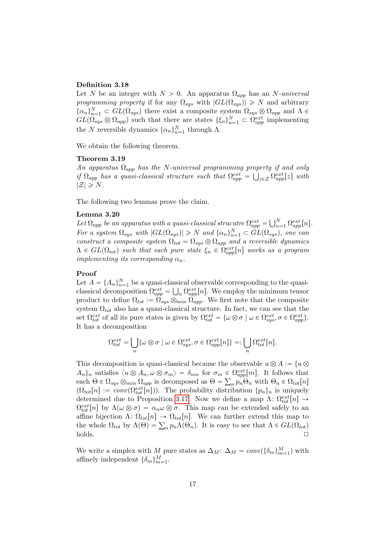#### Definition 3.18

Let N be an integer with  $N > 0$ . An apparatus  $\Omega_{app}$  has an N-universal programming property if for any  $\Omega_{sys}$  with  $|GL(\Omega_{sys})| \geq N$  and arbitrary  $\{\alpha_n\}_{n=1}^N \subset GL(\Omega_{sys})$  there exist a composite system  $\Omega_{sys} \otimes \Omega_{app}$  and  $\Lambda \in$  $GL(\Omega_{sys} \otimes \Omega_{app})$  such that there are states  $\{\xi_n\}_{n=1}^N \subset \Omega_{app}^{ext}$  implementing the N reversible dynamics  $\{\alpha_n\}_{n=1}^N$  through  $\Lambda$ .

<span id="page-16-0"></span>We obtain the following theorem.

## Theorem 3.19

An apparatus  $\Omega_{app}$  has the N-universal programming property if and only if  $\Omega_{app}$  has a quasi-classical structure such that  $\Omega_{app}^{ext} = \bigcup_{z \in \mathcal{Z}} \Omega_{app}^{ext}[z]$  with  $|\mathcal{Z}| \geqslant N$ .

The following two lemmas prove the claim.

#### Lemma 3.20

**Let**  $\Omega_{app}$  be an apparatus with a quasi-classical strucutre  $\Omega_{app}^{ext} = \bigcup_{n=1}^{N}$  $\bigcap_{n=1}^N \Omega_{app}^{ext}[n].$ For a system  $\Omega_{sys}$  with  $|GL(\Omega_{sys})| \geq N$  and  $\{\alpha_n\}_{n=1}^N \subset GL(\Omega_{sys})$ , one can construct a composite system  $\Omega_{tot} = \Omega_{sys} \otimes \Omega_{app}$  and a reversible dynamics  $\Lambda \in GL(\Omega_{tot})$  such that each pure state  $\xi_n \in \Omega_{app}^{ext}[n]$  works as a program implementing its corresponding  $\alpha_n$ .

## Proof

Let  $A = \{A_n\}_{n=1}^N$  be a quasi-classical observable corresponding to the quasiclassical decomposition  $\Omega_{app}^{ext} = \bigcup_n \Omega_{app}^{ext}[n]$ . We employ the minimum tensor product to define  $\Omega_{tot} := \Omega_{sys} \otimes_{min} \Omega_{app}$ . We first note that the composite system  $\Omega_{tot}$  also has a quasi-classical structure. In fact, we can see that the set  $\Omega_{tot}^{ext}$  of all its pure states is given by  $\Omega_{tot}^{ext} = {\omega \otimes \sigma \mid \omega \in \Omega_{sys}^{ext}, \sigma \in \Omega_{app}^{ext}}$ . It has a decomposition

$$
\Omega_{tot}^{ext} = \bigcup_n \{ \omega \otimes \sigma \mid \omega \in \Omega_{sys}^{ext}, \sigma \in \Omega_{app}^{ext}[n] \} =: \bigcup_n \Omega_{tot}^{ext}[n].
$$

This decomposition is quasi-classical because the observable  $u \otimes A := \{u \otimes$  $A_n$ <sub>n</sub> satisfies  $\langle u \otimes A_n, \omega \otimes \sigma_m \rangle = \delta_{nm}$  for  $\sigma_m \in \Omega_{app}^{ext}[m]$ . It follows that each  $\Theta \in \Omega_{sys} \otimes_{min} \Omega_{app}$  is decomposed as  $\Theta = \sum_n p_n \Theta_n$  with  $\Theta_n \in \Omega_{tot}[n]$  $(\Omega_{tot}[n] := conv(\Omega_{tot}^{ext}[n])$ . The probability distribution  $\{p_n\}_n$  is uniquely determined due to Proposition [3.17.](#page-15-0) Now we define a map  $\Lambda: \Omega_{tot}^{ext}[n] \to$  $\Omega_{tot}^{ext}[n]$  by  $\Lambda(\omega \otimes \sigma) = \alpha_n \omega \otimes \sigma$ . This map can be extended safely to an affine bijection  $\Lambda: \Omega_{tot}[n] \to \Omega_{tot}[n]$ . We can further extend this map to affine bijection  $\Lambda: \Omega_{tot}[n] \to \Omega_{tot}[n]$ . We can further extend this map to<br>the whole  $\Omega_{tot}$  by  $\Lambda(\Theta) = \sum_n p_n \Lambda(\Theta_n)$ . It is easy to see that  $\Lambda \in GL(\Omega_{tot})$  $\Box$ holds.  $\Box$ 

<span id="page-16-1"></span>We write a simplex with M pure states as  $\Delta_M$ :  $\Delta_M = conv(\{\delta_m\}_{m=1}^M)$  with affinely independent  $\{\delta_m\}_{m=1}^M$ .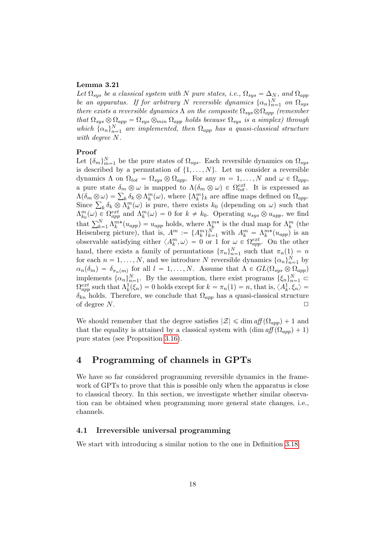#### Lemma 3.21

Let  $\Omega_{sys}$  be a classical system with N pure states, i.e.,  $\Omega_{sys} = \Delta_N$ , and  $\Omega_{app}$ be an apparatus. If for arbitrary N reversible dynamics  $\{\alpha_n\}_{n=1}^N$  on  $\Omega_{sys}$ there exists a reversible dynamics  $\Lambda$  on the composite  $\Omega_{sys} \otimes \Omega_{app}$  (remember that  $\Omega_{sys} \otimes \Omega_{app} = \Omega_{sys} \otimes_{min} \Omega_{app}$  holds because  $\Omega_{sys}$  is a simplex) through which  $\{\alpha_n\}_{n=1}^N$  are implemented, then  $\Omega_{app}$  has a quasi-classical structure with degree N.

## Proof

Let  $\{\delta_m\}_{m=1}^N$  be the pure states of  $\Omega_{sys}$ . Each reversible dynamics on  $\Omega_{sys}$ is described by a permutation of  $\{1, \ldots, N\}$ . Let us consider a reversible dynamics  $\Lambda$  on  $\Omega_{tot} = \Omega_{sys} \otimes \Omega_{app}$ . For any  $m = 1, ..., N$  and  $\omega \in \Omega_{app}$ , a pure state  $\delta_m \otimes \omega$  is mapped to  $\Lambda(\delta_m \otimes \omega) \in \Omega_{tot}^{ext}$ . It is expressed as a pure state  $\delta_m \otimes \omega$  is mapped to  $\Lambda(\delta_m \otimes \omega) \in \Omega_{tot}^{ext}$ . It is expressed as  $\Lambda(\delta_m \otimes \omega) = \sum_k \delta_k \otimes \Lambda_k^m(\omega)$ , where  $\{\Lambda_k^m\}_k$  are affine maps defined on  $\Omega_{app}$ .  $\Lambda(\delta_m \otimes \omega) = \sum_k \delta_k \otimes \Lambda_k^m(\omega)$ , where  $\{\Lambda_k^m\}_k$  are affine maps defined on  $\Omega_{app}$ .<br>Since  $\sum_k \delta_k \otimes \Lambda_k^m(\omega)$  is pure, there exists  $k_0$  (depending on  $\omega$ ) such that  $\Lambda_{k_0}^m(\omega) \in \Omega_{app}^{ext}$  and  $\Lambda_k^m(\omega) = 0$  for  $k \neq k_0$ . Operating  $u_{sys} \otimes u_{app}$ , we find  $\Lambda_{k_0}(\omega) \in \Omega_{app}$  and  $\Lambda_k(\omega) = 0$  for  $\kappa \neq \kappa_0$ . Operating  $u_{sys} \otimes u_{app}$ , we find<br>that  $\sum_{k=1}^N \Lambda_k^{m*}(u_{app}) = u_{app}$  holds, where  $\Lambda_k^{m*}$  is the dual map for  $\Lambda_k^m$  (the Heisenberg picture), that is,  $A^m := \{A_k^m\}_{k=1}^N$  with  $A_k^m = \Lambda_k^{m*}(u_{app})$  is an observable satisfying either  $\langle A_k^m, \omega \rangle = 0$  or 1 for  $\omega \in \Omega_{app}^{ext}$ . On the other hand, there exists a family of permutations  $\{\pi_n\}_{n=1}^N$  such that  $\pi_n(1) = n$ for each  $n = 1, ..., N$ , and we introduce N reversible dynamics  $\{\alpha_n\}_{n=1}^N$  by  $\alpha_n(\delta_m) = \delta_{\pi_n(m)}$  for all  $l = 1, ..., N$ . Assume that  $\Lambda \in GL(\Omega_{sys} \otimes \Omega_{app})$ implements  $\{\alpha_n\}_{n=1}^N$ . By the assumption, there exist programs  $\{\xi_n\}_{n=1}^N$   $\subset$  $\Omega_{app}^{ext}$  such that  $\Lambda_k^1(\xi_n) = 0$  holds except for  $k = \pi_n(1) = n$ , that is,  $\langle A_k^1, \xi_n \rangle =$  $\delta_{kn}$  holds. Therefore, we conclude that  $\Omega_{app}$  has a quasi-classical structure of degree  $N$ .

We should remember that the degree satisfies  $|\mathcal{Z}| \leq \dim \mathfrak{aff}(\Omega_{app}) + 1$  and that the equality is attained by a classical system with  $(\dim aff(\Omega_{am}) + 1)$ pure states (see Proposition [3.16\)](#page-15-1).

## <span id="page-17-0"></span>4 Programming of channels in GPTs

We have so far considered programming reversible dynamics in the framework of GPTs to prove that this is possible only when the apparatus is close to classical theory. In this section, we investigate whether similar observation can be obtained when programming more general state changes, i.e., channels.

#### 4.1 Irreversible universal programming

We start with introducing a similar notion to the one in Definition [3.18.](#page-15-2)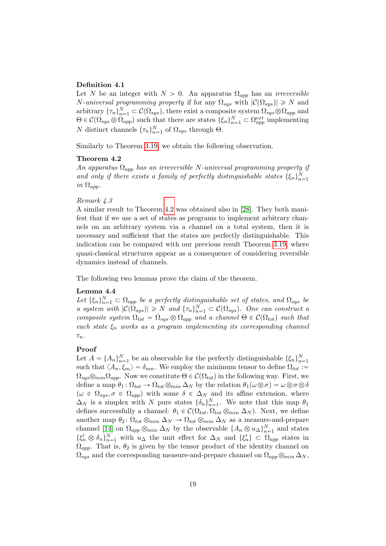#### Definition 4.1

Let N be an integer with  $N > 0$ . An apparatus  $\Omega_{app}$  has an *irreversible N*-universal programming property if for any  $\Omega_{sys}$  with  $|\mathcal{C}(\Omega_{sys})| \ge N$  and arbitrary  $\{\tau_n\}_{n=1}^N \subset \mathcal{C}(\Omega_{sys})$ , there exist a composite system  $\Omega_{sys} \otimes \Omega_{app}$  and  $\Theta \in \mathcal{C}(\Omega_{sys} \otimes \Omega_{app})$  such that there are states  $\{\xi_n\}_{n=1}^N \subset \Omega_{app}^{ext}$  implementing N distinct channels  $\{\tau_n\}_{n=1}^N$  of  $\Omega_{sys}$  through  $\Theta$ .

<span id="page-18-0"></span>Similarly to Theorem [3.19,](#page-16-0) we obtain the following observation.

#### Theorem 4.2

An apparatus  $\Omega_{app}$  has an irreversible N-universal programming property if and only if there exists a family of perfectly distinguishable states  $\{\xi_n\}_{n=1}^N$ in  $\Omega_{app}$ .

#### Remark 4.3

A similar result to Theorem [4.2](#page-18-0) was obtained also in [\[28\]](#page-31-4). They both manifest that if we use a set of states as programs to implement arbitrary channels on an arbitrary system via a channel on a total system, then it is necessary and sufficient that the states are perfectly distinguishable. This indication can be compared with our previous result Theorem [3.19,](#page-16-0) where quasi-classical structures appear as a consequence of considering reversible dynamics instead of channels.

The following two lemmas prove the claim of the theorem.

#### Lemma 4.4

Let  $\{\xi_n\}_{n=1}^N \subset \Omega_{app}$  be a perfectly distinguishable set of states, and  $\Omega_{sys}$  be a system with  $|\mathcal{C}(\Omega_{sys})| \geq N$  and  $\{\tau_n\}_{n=1}^N \subset \mathcal{C}(\Omega_{sys})$ . One can construct a composite system  $\Omega_{tot} = \Omega_{sys} \otimes \Omega_{app}$  and a channel  $\Theta \in \mathcal{C}(\Omega_{tot})$  such that each state  $\xi_n$  works as a program implementing its corresponding channel  $\tau_n$ .

#### Proof

Let  $A = \{A_n\}_{n=1}^N$  be an observable for the perfectly distinguishable  $\{\xi_n\}_{n=1}^N$ such that  $\langle A_n, \xi_m \rangle = \delta_{mn}$ . We employ the minimum tensor to define  $\Omega_{tot}$ :=  $\Omega_{sys} \otimes_{min} \Omega_{app}$ . Now we constitute  $\Theta \in \mathcal{C}(\Omega_{tot})$  in the following way. First, we define a map  $\theta_1: \Omega_{tot} \to \Omega_{tot} \otimes_{min} \Delta_N$  by the relation  $\theta_1(\omega \otimes \sigma) = \omega \otimes \sigma \otimes \delta$  $(\omega \in \Omega_{sys}, \sigma \in \Omega_{app})$  with some  $\delta \in \Delta_N$  and its affine extension, where  $\Delta_N$  is a simplex with N pure states  $\{\delta_n\}_{n=1}^N$ . We note that this map  $\theta_1$ defines successfully a channel:  $\theta_1 \in \mathcal{C}(\Omega_{tot}, \Omega_{tot} \otimes_{min} \Delta_N)$ . Next, we define another map  $\theta_2$ :  $\Omega_{tot} \otimes_{min} \Delta_N \rightarrow \Omega_{tot} \otimes_{min} \Delta_N$  as a measure-and-prepare channel [\[14\]](#page-30-3) on  $\Omega_{app} \otimes_{min} \Delta_N$  by the observable  $\{A_n \otimes u_\Delta\}_{n=1}^N$  and states  $\{\xi'_n \otimes \delta_n\}_{n=1}^N$  with  $u_\Delta$  the unit effect for  $\Delta_N$  and  $\{\xi'_n\} \subset \Omega_{app}$  states in  $\Omega_{app}$ . That is,  $\theta_2$  is given by the tensor product of the identity channel on  $\Omega_{sys}$  and the corresponding measure-and-prepare channel on  $\Omega_{app} \otimes_{min} \Delta_N$ ,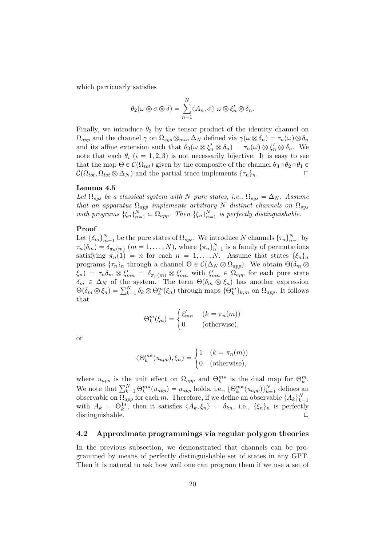which particuarly satisfies

$$
\theta_2(\omega \otimes \sigma \otimes \delta) = \sum_{n=1}^N \langle A_n, \sigma \rangle \omega \otimes \xi'_n \otimes \delta_n.
$$

Finally, we introduce  $\theta_3$  by the tensor product of the identity channel on  $\Omega_{app}$  and the channel  $\gamma$  on  $\Omega_{sys} \otimes_{min} \Delta_N$  defined via  $\gamma(\omega \otimes \delta_n) = \tau_n(\omega) \otimes \delta_n$ and its affine extension such that  $\theta_3(\omega \otimes \xi'_n \otimes \delta_n) = \tau_n(\omega) \otimes \xi'_n \otimes \delta_n$ . We note that each  $\theta_i$   $(i = 1, 2, 3)$  is not necessarily bijective. It is easy to see that the map  $\Theta \in \mathcal{C}(\Omega_{tot})$  given by the composite of the channel  $\theta_3 \circ \theta_2 \circ \theta_1 \in$  $\mathcal{C}(\Omega_{tot}, \Omega_{tot} \otimes \Delta_N)$  and the partial trace implements  $\{\tau_n\}_n$ .

#### <span id="page-19-0"></span>Lemma 4.5

Let  $\Omega_{sys}$  be a classical system with N pure states, i.e.,  $\Omega_{sys} = \Delta_N$ . Assume that an apparatus  $\Omega_{app}$  implements arbitrary N distinct channels on  $\Omega_{sys}$ with programs  $\{\xi_n\}_{n=1}^N \subset \Omega_{app}$ . Then  $\{\xi_n\}_{n=1}^N$  is perfectly distinguishable.

#### Proof

Let  $\{\delta_m\}_{m=1}^N$  be the pure states of  $\Omega_{sys}$ . We introduce N channels  $\{\tau_n\}_{n=1}^N$  by  $\tau_n(\delta_m) = \delta_{\pi_n(m)}$   $(m = 1, ..., N)$ , where  $\{\pi_n\}_{n=1}^N$  is a family of permutations satisfying  $\pi_n(1) = n$  for each  $n = 1, ..., N$ . Assume that states  $\{\xi_n\}_n$ programs  $\{\tau_n\}_n$  through a channel  $\Theta \in \mathcal{C}(\Delta_N \otimes \Omega_{app})$ . We obtain  $\Theta(\delta_m \otimes$  $\xi_n$ ) =  $\tau_n \delta_m \otimes \xi'_{mn} = \delta_{\pi_n(m)} \otimes \xi'_{mn}$  with  $\xi'_{mn} \in \Omega_{app}$  for each pure state  $\delta_m \in \Delta_N$  of the system. The term  $\Theta(\delta_m \otimes \xi_n)$  has another expression  $\Theta_m \in \Delta_N$  of the system. The term  $\Theta(\delta_m \otimes \xi_n)$  has another expression  $\Theta(\delta_m \otimes \xi_n) = \sum_{k=1}^N \delta_k \otimes \Theta_k^m(\xi_n)$  through maps  $\{\Theta_k^m\}_{k,m}$  on  $\Omega_{app}$ . It follows that

$$
\Theta_k^m(\xi_n) = \begin{cases} \xi'_{mn} & (k = \pi_n(m)) \\ 0 & (\text{otherwise}), \end{cases}
$$

or

$$
\langle \Theta_k^{m*}(u_{app}), \xi_n \rangle = \begin{cases} 1 & (k = \pi_n(m)) \\ 0 & (\text{otherwise}), \end{cases}
$$

where  $u_{app}$  is the unit effect on  $\Omega_{app}$  and  $\Theta_k^{m*}$  is the dual map for  $\Theta_k^m$ . where  $u_{app}$  is the unit effect on  $\Omega_{app}$  and  $\Theta_k^{\gamma}$  is the dual map for  $\Theta_k^{\gamma}$ .<br>We note that  $\sum_{k=1}^N \Theta_k^{m*}(u_{app}) = u_{app}$  holds, i.e.,  $\{\Theta_k^{m*}(u_{app})\}_{k=1}^N$  defines an observable on  $\Omega_{app}$  for each m. Therefore, if we define an observable  $\{A_k\}_{k=1}^N$ with  $A_k = \Theta_k^{1*}$ , then it satisfies  $\langle A_k, \xi_n \rangle = \delta_{kn}$ , i.e.,  $\{\xi_n\}_n$  is perfectly distinguishable.

#### 4.2 Approximate programmings via regular polygon theories

In the previous subsection, we demonstrated that channels can be programmed by means of perfectly distinguishable set of states in any GPT. Then it is natural to ask how well one can program them if we use a set of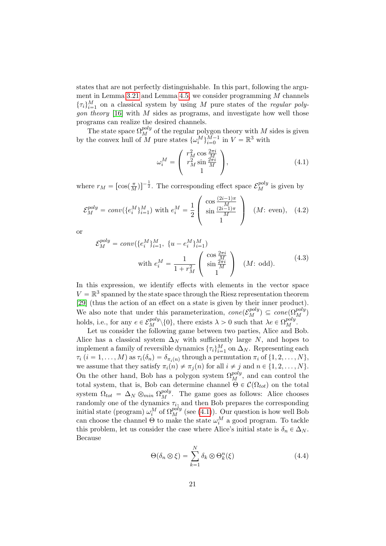states that are not perfectly distinguishable. In this part, following the argu-ment in Lemma [3.21](#page-16-1) and Lemma [4.5,](#page-19-0) we consider programming  $M$  channels  $\{\tau_i\}_{i=1}^M$  on a classical system by using M pure states of the *regular polygon theory* [\[16\]](#page-30-5) with  $M$  sides as programs, and investigate how well those programs can realize the desired channels.

The state space  $\Omega_M^{poly}$  of the regular polygon theory with M sides is given by the convex hull of M pure states  $\{\omega_i^M\}_{i=0}^{M-1}$  in  $V = \mathbb{R}^3$  with

<span id="page-20-3"></span><span id="page-20-2"></span><span id="page-20-0"></span>
$$
\omega_i^M = \begin{pmatrix} r_M^2 \cos \frac{2\pi i}{M} \\ r_M^2 \sin \frac{2\pi i}{M} \\ 1 \end{pmatrix}, \tag{4.1}
$$

where  $r_M = [\cos(\frac{\pi}{M})]^{-\frac{1}{2}}$ . The corresponding effect space  $\mathcal{E}_M^{poly}$  is given by

$$
\mathcal{E}_{M}^{poly} = conv(\{e_{i}^{M}\}_{i=1}^{M}) \text{ with } e_{i}^{M} = \frac{1}{2} \begin{pmatrix} \cos \frac{(2i-1)\pi}{M} \\ \sin \frac{(2i-1)\pi}{M} \\ 1 \end{pmatrix} \quad (M: \text{ even}), \quad (4.2)
$$

or

$$
\mathcal{E}_{M}^{poly} = conv(\{e_{i}^{M}\}_{i=1}^{M}, \{u - e_{i}^{M}\}_{i=1}^{M})
$$
  
with 
$$
e_{i}^{M} = \frac{1}{1 + r_{M}^{2}} \begin{pmatrix} \cos \frac{2\pi i}{M} \\ \sin \frac{2\pi i}{M} \\ 1 \end{pmatrix} \quad (M: \text{ odd}).
$$
 (4.3)

In this expression, we identify effects with elements in the vector space  $V = \mathbb{R}^3$  spanned by the state space through the Riesz representation theorem [\[29\]](#page-31-5) (thus the action of an effect on a state is given by their inner product). We also note that under this parameterization,  $cone(\mathcal{E}_M^{poly}) \subseteq cone(\Omega_M^{poly})$ holds, i.e., for any  $e \in \mathcal{E}_M^{poly} \setminus \{0\}$ , there exists  $\lambda > 0$  such that  $\lambda e \in \Omega_M^{poly}$ .

Let us consider the following game between two parties, Alice and Bob. Alice has a classical system  $\Delta_N$  with sufficiently large N, and hopes to implement a family of reversible dynamics  $\{\tau_i\}_{i=1}^M$  on  $\Delta_N$ . Representing each  $\tau_i$   $(i = 1, \ldots, M)$  as  $\tau_i(\delta_n) = \delta_{\pi_i(n)}$  through a permutation  $\pi_i$  of  $\{1, 2, \ldots, N\},$ we assume that they satisfy  $\pi_i(n) \neq \pi_j(n)$  for all  $i \neq j$  and  $n \in \{1, 2, ..., N\}.$ On the other hand, Bob has a polygon system  $\Omega_M^{poly}$ , and can control the total system, that is, Bob can determine channel  $\Theta \in \mathcal{C}(\Omega_{tot})$  on the total system  $\Omega_{tot} = \Delta_N \otimes_{min} \Omega_M^{poly}$ . The game goes as follows: Alice chooses randomly one of the dynamics  $\tau_i$ , and then Bob prepares the corresponding initial state (program)  $\omega_i^M$  of  $\Omega_M^{poly}$  (see [\(4.1\)](#page-20-0)). Our question is how well Bob can choose the channel  $\Theta$  to make the state  $\omega_i^M$  a good program. To tackle this problem, let us consider the case where Alice's initial state is  $\delta_n \in \Delta_N$ . Because

<span id="page-20-1"></span>
$$
\Theta(\delta_n \otimes \xi) = \sum_{k=1}^N \delta_k \otimes \Theta_k^n(\xi) \tag{4.4}
$$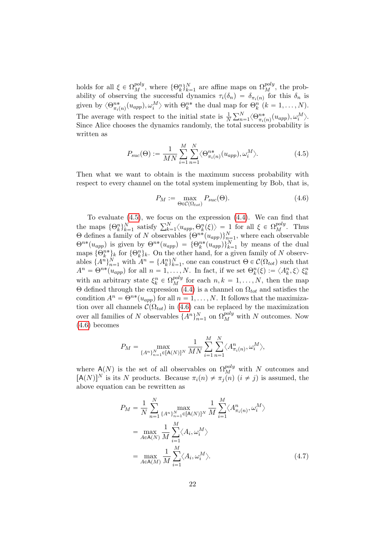holds for all  $\xi \in \Omega_M^{poly}$ , where  $\{\Theta_k^n\}_{k=1}^N$  are affine maps on  $\Omega_M^{poly}$ , the probability of observing the successful dynamics  $\tau_i(\delta_n) = \delta_{\pi_i(n)}$  for this  $\delta_n$  is given by  $\langle \Theta_{\pi_i(n)}^{n*}(u_{app}), \omega_i^M \rangle$  with  $\Theta_k^{n*}$  the dual map for  $\Theta_k^n$   $(k = 1, ..., N)$ . The average with respect to the initial state is  $\frac{1}{N}$  $P \nightharpoonup N$  $_{n=1}^{N}\langle \Theta^{n*}_{\pi_i(n)}(u_{app}), \omega_i^M\rangle.$ Since Alice chooses the dynamics randomly, the total success probability is written as

$$
P_{suc}(\Theta) := \frac{1}{MN} \sum_{i=1}^{M} \sum_{n=1}^{N} \langle \Theta_{\pi_i(n)}^{n*}(u_{app}), \omega_i^M \rangle.
$$
 (4.5)

Then what we want to obtain is the maximum success probability with respect to every channel on the total system implementing by Bob, that is,

<span id="page-21-1"></span><span id="page-21-0"></span>
$$
P_M := \max_{\Theta \in \mathcal{C}(\Omega_{tot})} P_{suc}(\Theta). \tag{4.6}
$$

To evaluate [\(4.5\)](#page-21-0), we focus on the expression [\(4.4\)](#page-20-1). We can find that To evaluate (4.5), we focus on the expression (4.4). We can find that<br>the maps  $\{\Theta_k^n\}_{k=1}^N$  satisfy  $\sum_{k=1}^N \langle u_{app}, \Theta_k^n(\xi) \rangle = 1$  for all  $\xi \in \Omega_M^{poly}$ . Thus Θ defines a family of N observables  $\{\Theta^{n*}(u_{app})\}_{n=1}^N$ , where each observable  $\Theta^{n*}(u_{app})$  is given by  $\Theta^{n*}(u_{app}) = {\Theta^{n*}(u_{app})}_{k=1}^N$  by means of the dual maps  $\{\Theta_k^{n*}\}_k$  for  $\{\Theta_k^n\}_k$ . On the other hand, for a given family of N observables  $\{A^n\}_{n=1}^N$  with  $A^n = \{A_k^n\}_{k=1}^N$ , one can construct  $\Theta \in \mathcal{C}(\Omega_{tot})$  such that  $A^n = \Theta^{n*}(u_{app})$  for all  $n = 1, \ldots, N$ . In fact, if we set  $\Theta_k^n(\xi) := \langle A_k^n, \xi \rangle \xi_k^n$ with an arbitrary state  $\xi_k^n \in \Omega_M^{poly}$  for each  $n, k = 1, ..., N$ , then the map Θ defined through the expression [\(4.4\)](#page-20-1) is a channel on  $Ω_{tot}$  and satisfies the condition  $A^n = \Theta^{n*}(u_{app})$  for all  $n = 1, ..., N$ . It follows that the maximization over all channels  $\mathcal{C}(\Omega_{tot})$  in [\(4.6\)](#page-21-1) can be replaced by the maximization over all families of N observables  $\{A^n\}_{n=1}^N$  on  $\Omega_M^{poly}$  with N outcomes. Now [\(4.6\)](#page-21-1) becomes

$$
P_M = \max_{\{A^n\}_{n=1}^N \in [A(N)]^N} \frac{1}{MN} \sum_{i=1}^M \sum_{n=1}^N \langle A^n_{\pi_i(n)}, \omega_i^M \rangle,
$$

where A(N) is the set of all observables on  $\Omega_M^{poly}$  with N outcomes and  $[A(N)]^N$  is its N products. Because  $\pi_i(n) \neq \pi_j(n)$   $(i \neq j)$  is assumed, the above equation can be rewritten as

<span id="page-21-2"></span>
$$
P_M = \frac{1}{N} \sum_{n=1}^{N} \max_{\{A^n\}_{n=1}^N \in [A(N)]^N} \frac{1}{M} \sum_{i=1}^{M} \langle A^n_{\pi_i(n)}, \omega_i^M \rangle
$$
  
= 
$$
\max_{A \in A(N)} \frac{1}{M} \sum_{i=1}^{M} \langle A_i, \omega_i^M \rangle
$$
  
= 
$$
\max_{A \in A(M)} \frac{1}{M} \sum_{i=1}^{M} \langle A_i, \omega_i^M \rangle.
$$
 (4.7)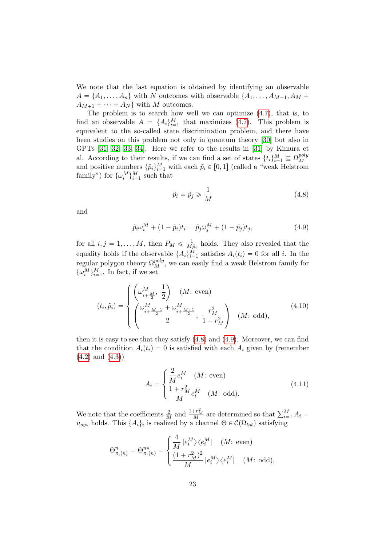We note that the last equation is obtained by identifying an observable  $A = \{A_1, \ldots, A_n\}$  with N outcomes with observable  $\{A_1, \ldots, A_{M-1}, A_M +$  $A_{M+1} + \cdots + A_N$  with M outcomes.

The problem is to search how well we can optimize  $(4.7)$ , that is, to find an observable  $A = \{A_i\}_{i=1}^M$  that maximizes [\(4.7\)](#page-21-2). This problem is equivalent to the so-called state discrimination problem, and there have been studies on this problem not only in quantum theory [\[30\]](#page-31-6) but also in GPTs [\[31,](#page-31-7) [32,](#page-31-8) [33,](#page-31-9) [34\]](#page-31-10). Here we refer to the results in [\[31\]](#page-31-7) by Kimura et al. According to their results, if we can find a set of states  $\{t_i\}_{i=1}^M \subseteq \Omega_M^{poly}$ and positive numbers  $\{\tilde{p}_i\}_{i=1}^M$  with each  $\tilde{p}_i \in [0, 1]$  (called a "weak Helstrom") family") for  $\{\omega_i^M\}_{i=1}^M$  such that

<span id="page-22-1"></span><span id="page-22-0"></span>
$$
\tilde{p}_i = \tilde{p}_j \ge \frac{1}{M} \tag{4.8}
$$

and

$$
\tilde{p}_i \omega_i^M + (1 - \tilde{p}_i)t_i = \tilde{p}_j \omega_j^M + (1 - \tilde{p}_j)t_j,
$$
\n(4.9)

for all  $i, j = 1, ..., M$ , then  $P_M \leq \frac{1}{M}$  $\frac{1}{M\tilde{p}_i}$  holds. They also revealed that the equality holds if the observable  $\{A_i\}_{i=1}^M$  satisfies  $A_i(t_i) = 0$  for all i. In the regular polygon theory  $\Omega_M^{poly}$ , we can easily find a weak Helstrom family for  $\{\omega_i^M\}_{i=1}^M$ . In fact, if we set

$$
(t_i, \tilde{p}_i) = \begin{cases} \left(\omega_{i+\frac{M}{2}}^M, \frac{1}{2}\right) & (M: \text{ even})\\ \left(\frac{\omega_{i+\frac{M-1}{2}}^M + \omega_{i+\frac{M+1}{2}}^M}{2}, \frac{r_M^2}{1+r_M^2}\right) & (M: \text{ odd}), \end{cases}
$$
(4.10)

then it is easy to see that they satisfy [\(4.8\)](#page-22-0) and [\(4.9\)](#page-22-1). Moreover, we can find that the condition  $A_i(t_i) = 0$  is satisfied with each  $A_i$  given by (remember  $(4.2)$  and  $(4.3)$ 

$$
A_{i} = \begin{cases} \frac{2}{M} e_{i}^{M} & (M: \text{ even}) \\ \frac{1 + r_{M}^{2}}{M} e_{i}^{M} & (M: \text{ odd}). \end{cases}
$$
(4.11)

We note that the coefficients  $\frac{2}{M}$  and  $\frac{1+r_M^2}{M}$  are determined so that  $\sum_{i=1}^M A_i =$  $u_{sys}$  holds. This  $\{A_i\}_i$  is realized by a channel  $\Theta \in \mathcal{C}(\Omega_{tot})$  satisfying

$$
\Theta_{\pi_i(n)}^n = \Theta_{\pi_i(n)}^{n*} = \begin{cases} \frac{4}{M} |e_i^M\rangle\langle e_i^M| & (M: \text{ even}) \\ \frac{(1+r_M^2)^2}{M} |e_i^M\rangle\langle e_i^M| & (M: \text{ odd}), \end{cases}
$$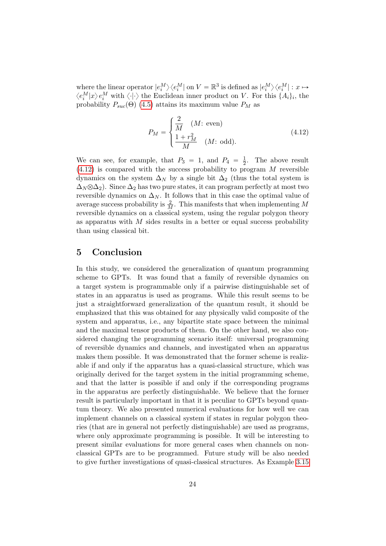where the linear operator  $|e_i^M\rangle\langle e_i^M|$  on  $V = \mathbb{R}^3$  is defined as  $|e_i^M\rangle\langle e_i^M| : x \mapsto$  $\langle e_i^M|x\rangle e_i^M$  with  $\langle \cdot | \cdot \rangle$  the Euclidean inner product on V. For this  $\{A_i\}_i$ , the probability  $P_{suc}(\Theta)$  [\(4.5\)](#page-21-0) attains its maximum value  $P_M$  as

<span id="page-23-0"></span>
$$
P_M = \begin{cases} \frac{2}{M} & (M: \text{ even}) \\ \frac{1+r_M^2}{M} & (M: \text{ odd}). \end{cases}
$$
(4.12)

We can see, for example, that  $P_3 = 1$ , and  $P_4 = \frac{1}{2}$  $\frac{1}{2}$ . The above result  $(4.12)$  is compared with the success probability to program M reversible dynamics on the system  $\Delta_N$  by a single bit  $\Delta_2$  (thus the total system is  $\Delta_N \otimes \Delta_2$ ). Since  $\Delta_2$  has two pure states, it can program perfectly at most two reversible dynamics on  $\Delta_N$ . It follows that in this case the optimal value of average success probability is  $\frac{2}{M}$ . This manifests that when implementing M reversible dynamics on a classical system, using the regular polygon theory as apparatus with  $M$  sides results in a better or equal success probability than using classical bit.

## 5 Conclusion

In this study, we considered the generalization of quantum programming scheme to GPTs. It was found that a family of reversible dynamics on a target system is programmable only if a pairwise distinguishable set of states in an apparatus is used as programs. While this result seems to be just a straightforward generalization of the quantum result, it should be emphasized that this was obtained for any physically valid composite of the system and apparatus, i.e., any bipartite state space between the minimal and the maximal tensor products of them. On the other hand, we also considered changing the programming scenario itself: universal programming of reversible dynamics and channels, and investigated when an apparatus makes them possible. It was demonstrated that the former scheme is realizable if and only if the apparatus has a quasi-classical structure, which was originally derived for the target system in the initial programming scheme, and that the latter is possible if and only if the corresponding programs in the apparatus are perfectly distinguishable. We believe that the former result is particularly important in that it is peculiar to GPTs beyond quantum theory. We also presented numerical evaluations for how well we can implement channels on a classical system if states in regular polygon theories (that are in general not perfectly distinguishable) are used as programs, where only approximate programming is possible. It will be interesting to present similar evaluations for more general cases when channels on nonclassical GPTs are to be programmed. Future study will be also needed to give further investigations of quasi-classical structures. As Example [3.15](#page-14-1)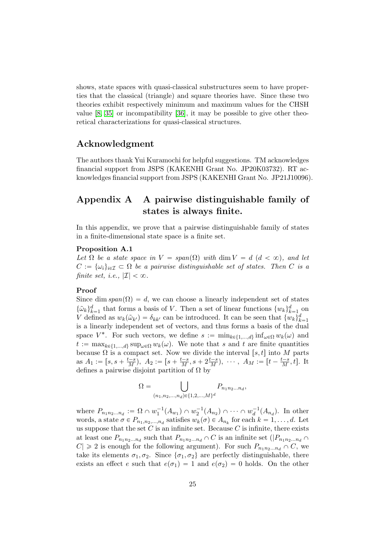shows, state spaces with quasi-classical substructures seem to have properties that the classical (triangle) and square theories have. Since these two theories exhibit respectively minimum and maximum values for the CHSH value [\[8,](#page-29-7) [35\]](#page-31-11) or incompatibility [\[36\]](#page-31-12), it may be possible to give other theoretical characterizations for quasi-classical structures.

## Acknowledgment

The authors thank Yui Kuramochi for helpful suggestions. TM acknowledges financial support from JSPS (KAKENHI Grant No. JP20K03732). RT acknowledges financial support from JSPS (KAKENHI Grant No. JP21J10096).

## <span id="page-24-1"></span>Appendix A A pairwise distinguishable family of states is always finite.

<span id="page-24-0"></span>In this appendix, we prove that a pairwise distinguishable family of states in a finite-dimensional state space is a finite set.

#### Proposition A.1

Let  $\Omega$  be a state space in  $V = span(\Omega)$  with dim  $V = d$   $(d < \infty)$ , and let  $C := {\{\omega_i\}}_{i \in \mathcal{I}} \subset \Omega$  be a pairwise distinguishable set of states. Then C is a finite set, i.e.,  $|\mathcal{I}| < \infty$ .

## Proof

Since dim  $span(\Omega) = d$ , we can choose a linearly independent set of states  $\{\tilde{\omega}_k\}_{k=1}^d$  that forms a basis of V. Then a set of linear functions  $\{w_k\}_{k=1}^d$  on V defined as  $w_k(\tilde{\omega}_{k'}) = \delta_{kk'}$  can be introduced. It can be seen that  $\{w_k\}_{k=1}^d$ is a linearly independent set of vectors, and thus forms a basis of the dual space  $V^*$ . For such vectors, we define  $s := \min_{k \in \{1, ..., d\}} \inf_{\omega \in \Omega} w_k(\omega)$  and  $t := \max_{k \in \{1,\ldots,d\}} \sup_{\omega \in \Omega} w_k(\omega)$ . We note that s and t are finite quantities because  $\Omega$  is a compact set. Now we divide the interval [s, t] into M parts as  $A_1 := [s, s + \frac{t-s}{M}), A_2 := [s + \frac{t-s}{M}, s + 2\frac{t-s}{M}), \cdots, A_M := [t - \frac{t-s}{M}, t].$  It defines a pairwise disjoint partition of  $\Omega$  by

$$
\Omega = \bigcup_{(n_1, n_2, \dots, n_d) \in \{1, 2, \dots, M\}^d} P_{n_1 n_2 \dots n_d},
$$

where  $P_{n_1 n_2 ... n_d} := \Omega \cap w_1^{-1}(A_{w_1}) \cap w_2^{-1}(A_{n_2}) \cap \cdots \cap w_d^{-1}(A_{n_d})$ . In other words, a state  $\sigma \in P_{n_1, n_2, ..., n_d}$  satisfies  $w_k(\sigma) \in A_{n_k}$  for each  $k = 1, ..., d$ . Let us suppose that the set  $C$  is an infinite set. Because  $C$  is infinite, there exists at least one  $P_{n_1n_2...n_d}$  such that  $P_{n_1n_2...n_d} \cap C$  is an infinite set  $(|P_{n_1n_2...n_d} \cap C|)$  $|C| \geq 2$  is enough for the following argument). For such  $P_{n_1 n_2 ... n_d} \cap C$ , we take its elements  $\sigma_1, \sigma_2$ . Since  $\{\sigma_1, \sigma_2\}$  are perfectly distinguishable, there exists an effect e such that  $e(\sigma_1) = 1$  and  $e(\sigma_2) = 0$  holds. On the other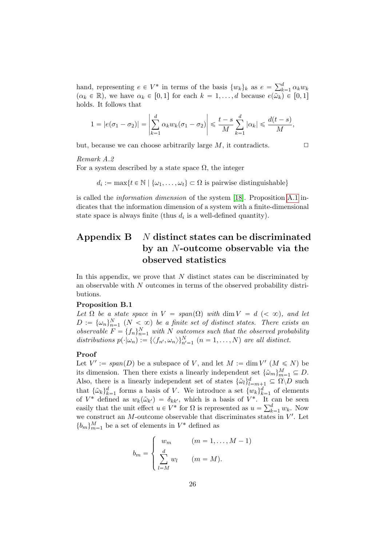hand, representing  $e \in V^*$  in terms of the basis  $\{w_k\}_k$  as  $e = \sum_k^d$  $\sum_{k=1}^a \alpha_k w_k$  $(\alpha_k \in \mathbb{R})$ , we have  $\alpha_k \in [0, 1]$  for each  $k = 1, \ldots, d$  because  $e(\omega_k) \in [0, 1]$ holds. It follows that

$$
1 = |e(\sigma_1 - \sigma_2)| = \left| \sum_{k=1}^d \alpha_k w_k (\sigma_1 - \sigma_2) \right| \leq \frac{t-s}{M} \sum_{k=1}^d |\alpha_k| \leq \frac{d(t-s)}{M},
$$

but, because we can choose arbitrarily large  $M$ , it contradicts.  $\Box$ 

## Remark A.2

For a system described by a state space  $\Omega$ , the integer

 $d_i := \max\{t \in \mathbb{N} \mid \{\omega_1, \dots, \omega_t\} \subset \Omega \text{ is pairwise distinguishable}\}\$ 

is called the *information dimension* of the system [\[18\]](#page-30-7). Proposition [A.1](#page-24-0) indicates that the information dimension of a system with a finite-dimensional state space is always finite (thus  $d_i$  is a well-defined quantity).

## <span id="page-25-1"></span>Appendix  $\bf{B}$  N distinct states can be discriminated by an N-outcome observable via the observed statistics

<span id="page-25-0"></span>In this appendix, we prove that  $N$  distinct states can be discriminated by an observable with N outcomes in terms of the observed probability distributions.

#### Proposition B.1

Let  $\Omega$  be a state space in  $V = span(\Omega)$  with dim  $V = d \, (< \infty)$ , and let  $D := {\{\omega_n\}}_{n=1}^N$   $(N < \infty)$  be a finite set of distinct states. There exists an observable  $F = \{f_n\}_{n=1}^N$  with N outcomes such that the observed probability distributions  $p(\cdot|\omega_n) := {\langle \langle f_{n'}, \omega_n \rangle \rangle_{n'=1}^N}$  ( $n = 1, ..., N$ ) are all distinct.

## Proof

Let  $V' := \text{span}(D)$  be a subspace of V, and let  $M := \dim V'$   $(M \leq N)$  be its dimension. Then there exists a linearly independent set  $\{\tilde{\omega}_m\}_{m=1}^M \subseteq D$ . Also, there is a linearly independent set of states  $\{\tilde{\omega}_l\}_{l=m+1}^d \subseteq \Omega \backslash D$  such that  $\{\tilde{\omega}_k\}_{k=1}^d$  forms a basis of V. We introduce a set  $\{w_k\}_{k=1}^d$  of elements of  $V^*$  defined as  $w_k(\tilde{\omega}_{k'}) = \delta_{kk'}$ , which is a basis of  $V^*$ . It can be seen<br>cosily that the unit offset  $u \in V^*$  for Q is represented as  $u = \sum_{k=1}^d w_k$ . Now easily that the unit effect  $u \in V^*$  for  $\Omega$  is represented as  $u = \sum_{k=1}^d w_k$ . Now we construct an  $M$ -outcome observable that discriminates states in  $V'$ . Let  ${b_m}_{m=1}^M$  be a set of elements in  $V^*$  defined as

$$
b_m = \begin{cases} w_m & (m = 1, \dots, M - 1) \\ \sum_{l=M}^d w_l & (m = M). \end{cases}
$$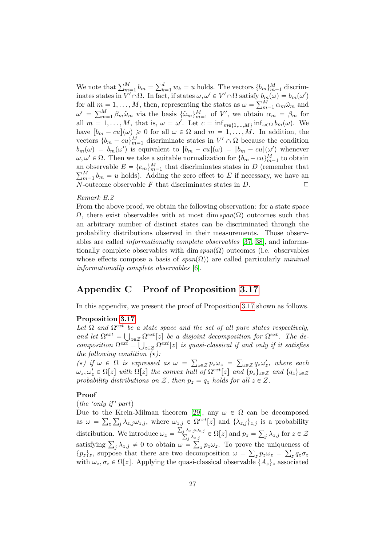We note that  $\sum_{m=1}^{M} b_m = \sum_{k=1}^{d} b_k$  $\binom{d}{k=1} w_k = u$  holds. The vectors  $\{b_m\}_{m=1}^M$  discriminates states in  $V' \cap \Omega$ . In fact, if states  $\omega, \omega' \in V' \cap \Omega$  satisfy  $b_m(\omega) = b_m(\omega')$ inates states in  $V \cap \Omega$ . In fact, if states  $\omega, \omega' \in V \cap \Omega$  satisfy  $b_m$ <br>for all  $m = 1, ..., M$ , then, representing the states as  $\omega = \sum_m^M$  $\sum_{m=1}^{M} \alpha_m \tilde{\omega}_m$  and for all  $m =$ <br> $\omega' = \sum_{m=1}^{M}$  $_{m=1}^{M} \beta_m \tilde{\omega}_m$  via the basis  $\{\tilde{\omega}_m\}_{m=1}^{M}$  of  $V'$ , we obtain  $\alpha_m = \beta_m$  for all  $m = 1, ..., M$ , that is,  $\omega = \omega'$ . Let  $c = \inf_{m \in \{1, ..., M\}} \inf_{\omega \in \Omega} b_m(\omega)$ . We have  $[b_m - cu](\omega) \geq 0$  for all  $\omega \in \Omega$  and  $m = 1, \ldots, M$ . In addition, the vectors  $\{b_m - cu\}_{m=1}^M$  discriminate states in  $V' \cap \Omega$  because the condition  $b_m(\omega) = b_m(\omega')$  is equivalent to  $[b_m - cu](\omega) = [b_m - cu](\omega')$  whenever  $\omega, \omega' \in \Omega$ . Then we take a suitable normalization for  $\{b_m - cu\}_{m=1}^M$  to obtain an observable  $E = \{e_m\}_{m=1}^M$  that discriminates states in D (remember that  $\sum_{k=1}^M h_{n-k}$  is both and ding the zero effect to E if negotiative we have an  $_{m=1}^{M}$   $_{m=1}^{M}$  b<sub>m</sub> = u holds). Adding the zero effect to E if necessary, we have an N-outcome observable F that discriminates states in  $D$ .  $\Box$ 

#### Remark B.2

From the above proof, we obtain the following observation: for a state space  $\Omega$ , there exist observables with at most dim span $(\Omega)$  outcomes such that an arbitrary number of distinct states can be discriminated through the probability distributions observed in their measurements. Those observables are called informationally complete observables [\[37,](#page-32-0) [38\]](#page-32-1), and informationally complete observables with dim  $span(\Omega)$  outcomes (i.e. observables whose effects compose a basis of  $span(\Omega)$  are called particularly minimal informationally complete observables [\[6\]](#page-29-5).

## <span id="page-26-0"></span>Appendix C Proof of Proposition [3.17](#page-15-0)

In this appendix, we present the proof of Proposition [3.17](#page-15-0) shown as follows.

## Proposition [3.17](#page-15-0)

Let  $\Omega$  and  $\Omega^{ext}$  be a state space and the set of all pure states respectively, and let  $\Omega^{ext} = \bigcup_{z \in \mathcal{Z}} \Omega^{ext}[z]$  be a disjoint decomposition for  $\Omega^{ext}$ . The decomposition  $\Omega^{ext} = \bigcup_{z \in \mathcal{Z}} \Omega^{ext}[z]$  is quasi-classical if and only if it satisfies the following condition  $(\star)$ :

(\*) if  $\omega \in \Omega$  is expressed as  $\omega = \sum_{z \in \mathcal{Z}} p_z \omega_z = \sum_{z \in \mathcal{Z}} q_z \omega'_z$ , where each  $\omega_z, \omega_z' \in \Omega[z]$  with  $\Omega[z]$  the convex hull of  $\Omega^{ext}[z]$  and  $\{p_z\}_{z \in \mathcal{Z}}$  and  $\{q_z\}_{z \in \mathcal{Z}}$ probability distributions on Z, then  $p_z = q_z$  holds for all  $z \in Z$ .

## Proof

#### $(the 'onlu if' part)$

Due to the Krein-Milman theorem [\[29\]](#page-31-5), any  $\omega \in \Omega$  can be decomposed as  $\omega = \sum_{z} \sum_{j} \lambda_{z,j} \omega_{z,j}$ , where  $\omega_{z,j} \in \Omega^{ext}[z]$  and  $\{\lambda_{z,j}\}_{z,j}$  is a probability distribution. We introduce  $\omega_z = \frac{\sum_j \lambda_{z,j} \omega_{z,j}}{\sum_i \lambda_{z,j}}$  $\frac{\lambda_{z,j}\omega_{z,j}}{j\lambda_{z,j}} \in \Omega[z]$  and  $p_z =$ ř distribution. We introduce  $\omega_z = \frac{\sum_j \lambda_{z,j} \omega_{z,j}}{\sum_j \lambda_{z,j}} \in \Omega[z]$  and  $p_z = \sum_j \lambda_{z,j}$  for  $z \in \mathcal{Z}$ <br>satisfying  $\sum_j \lambda_{z,j} \neq 0$  to obtain  $\omega = \sum_z p_z \omega_z$ . To prove the uniqueness of  $\overline{z,j}$  $z p_z \omega_z$ . To prove the uniqueness of  $\{p_z\}_z$ , suppose that there are two decomposition  $\omega = \sum_z p_z \omega_z = \sum_z q_z \sigma_z$ with  $\omega_z, \sigma_z \in \Omega[z]$ . Applying the quasi-classical observable  $\{A_z\}_z$  associated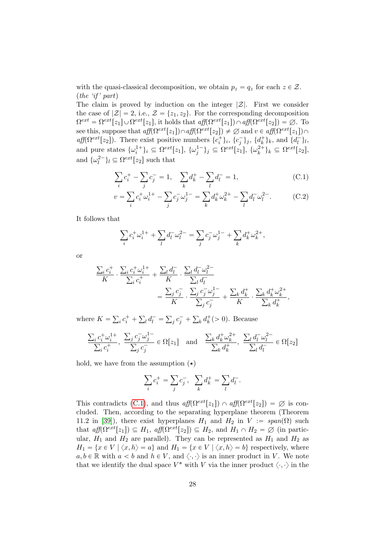with the quasi-classical decomposition, we obtain  $p_z = q_z$  for each  $z \in \mathcal{Z}$ .  $(the 'if' part)$ 

The claim is proved by induction on the integer  $|\mathcal{Z}|$ . First we consider the case of  $|\mathcal{Z}| = 2$ , i.e.,  $\mathcal{Z} = \{z_1, z_2\}$ . For the corresponding decomposition  $\Omega^{ext} = \Omega^{ext}[z_1] \cup \Omega^{ext}[z_1]$ , it holds that  $aff(\Omega^{ext}[z_1]) \cap aff(\Omega^{ext}[z_2]) = \emptyset$ . To see this, suppose that  $aff(\Omega^{ext}[z_1]) \cap aff(\Omega^{ext}[z_2]) \neq \emptyset$  and  $v \in aff(\Omega^{ext}[z_1]) \cap$ aff( $\Omega^{ext}[z_2]$ ). There exist positive numbers  $\{c_i^+\}_i$ ,  $\{c_j^-\}_j$ ,  $\{d_k^+\}_k$ , and  $\{d_l^-\}_l$ , and pure states  $\{\omega_i^{1+}\}_i \subseteq \Omega^{ext}[z_1], \ \{\omega_j^{1-}\}_j \subseteq \Omega^{ext}[z_1], \ \{\omega_k^{2+}\}_k \subseteq \Omega^{ext}[z_2],$ and  $\{\omega_l^{2-}\}_l \subseteq \Omega^{ext}[z_2]$  such that

<span id="page-27-0"></span>
$$
\sum_{i} c_i^+ - \sum_{j} c_j^- = 1, \quad \sum_{k} d_k^+ - \sum_{l} d_l^- = 1,
$$
\n(C.1)

$$
v = \sum_{i} c_{i}^{+} \omega_{i}^{1+} - \sum_{j} c_{j}^{-} \omega_{j}^{1-} = \sum_{k} d_{k}^{+} \omega_{k}^{2+} - \sum_{l} d_{l}^{-} \omega_{l}^{2-}.
$$
 (C.2)

It follows that

$$
\sum_{i} c_{i}^{+} \omega_{i}^{1+} + \sum_{l} d_{l}^{-} \omega_{l}^{2-} = \sum_{j} c_{j}^{-} \omega_{j}^{1-} + \sum_{k} d_{k}^{+} \omega_{k}^{2+},
$$

or

$$
\begin{split} \frac{\sum_i c_i^+}{K} \cdot \frac{\sum_i c_i^+ \omega_i^{1+}}{\sum_i c_i^+} + \frac{\sum_l d_l^-}{K} \cdot \frac{\sum_l d_l^- \omega_l^{2-}}{\sum_l d_l^-} \\ &\quad = \frac{\sum_j c_j^-}{K} \cdot \frac{\sum_j c_j^- \omega_j^{1-}}{\sum_j c_j^-} + \frac{\sum_k d_k^+}{K} \cdot \frac{\sum_k d_k^+ \omega_k^{2+}}{\sum_k d_k^+}, \end{split}
$$

where  $K =$  $i \, c_i^+ +$  $\int d_l^-$  =  $j \overline{c_j^+}$  +  $_k d_k^+$ (> 0). Because

$$
\frac{\sum_{i} c_i^+ \omega_i^{1+}}{\sum_{i} c_i^+}, \frac{\sum_{j} c_j^- \omega_j^{1-}}{\sum_{j} c_j^-} \in \Omega[z_1] \text{ and } \frac{\sum_{k} d_k^+ \omega_k^{2+}}{\sum_{k} d_k^+}, \frac{\sum_{l} d_l^- \omega_l^{2-}}{\sum_{l} d_l^-} \in \Omega[z_2]
$$

hold, we have from the assumption  $(\star)$ 

$$
\sum_i c_i^+ = \sum_j c_j^-, \quad \sum_k d_k^+ = \sum_l d_l^-.
$$

This contradicts [\(C.1\)](#page-27-0), and thus  $aff(\Omega^{ext}[z_1]) \cap aff(\Omega^{ext}[z_2]) = \emptyset$  is concluded. Then, according to the separating hyperplane theorem (Theorem 11.2 in [\[39\]](#page-32-2)), there exist hyperplanes  $H_1$  and  $H_2$  in  $V := span(\Omega)$  such that  $aff(\Omega^{ext}[z_1]) \subseteq H_1$ ,  $aff(\Omega^{ext}[z_2]) \subseteq H_2$ , and  $H_1 \cap H_2 = \emptyset$  (in particular,  $H_1$  and  $H_2$  are parallel). They can be represented as  $H_1$  and  $H_2$  as  $H_1 = \{x \in V \mid \langle x, h \rangle = a\}$  and  $H_1 = \{x \in V \mid \langle x, h \rangle = b\}$  respectively, where  $a, b \in \mathbb{R}$  with  $a < b$  and  $h \in V$ , and  $\langle \cdot, \cdot \rangle$  is an inner product in V. We note that we identify the dual space  $V^*$  with V via the inner product  $\langle \cdot, \cdot \rangle$  in the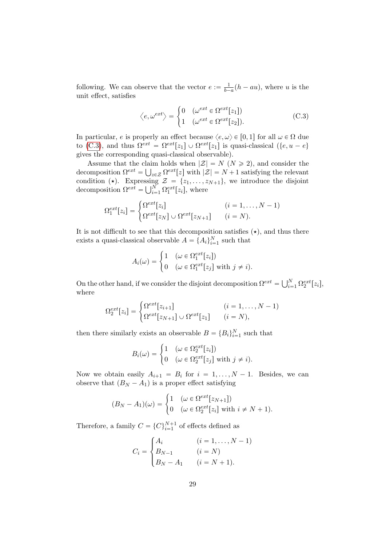following. We can observe that the vector  $e := \frac{1}{b-1}$  $\frac{1}{b-a}(h-au)$ , where u is the unit effect, satisfies #

<span id="page-28-0"></span>
$$
\langle e, \omega^{ext} \rangle = \begin{cases} 0 & (\omega^{ext} \in \Omega^{ext}[z_1]) \\ 1 & (\omega^{ext} \in \Omega^{ext}[z_2]). \end{cases} \tag{C.3}
$$

In particular, e is properly an effect because  $\langle e, \omega \rangle \in [0, 1]$  for all  $\omega \in \Omega$  due to [\(C.3\)](#page-28-0), and thus  $\Omega^{ext} = \Omega^{ext}[z_1] \cup \Omega^{ext}[z_1]$  is quasi-classical  $({e, u - e})$ gives the corresponding quasi-classical observable).

Assume that the claim holds when  $|\mathcal{Z}| = N \ (N \geq 2)$ , and consider the decomposition  $\Omega^{ext} = \bigcup_{z \in \mathcal{Z}} \Omega^{ext}[z]$  with  $|\mathcal{Z}| = N + 1$  satisfying the relevant condition ( $\star$ ). Expressing  $\mathcal{Z} = \{z_1, \ldots, z_{N+1}\}\,$ , we introduce the disjoint condition (\*). Expressing<br>decomposition  $\Omega^{ext} = \bigcup_{i=1}^{N}$  $_{i=1}^N \Omega_1^{ext}[z_i]$ , where

$$
\Omega_1^{ext}[z_i] = \begin{cases} \Omega^{ext}[z_i] & (i = 1, \dots, N-1) \\ \Omega^{ext}[z_N] \cup \Omega^{ext}[z_{N+1}] & (i = N). \end{cases}
$$

It is not difficult to see that this decomposition satisfies  $(\star)$ , and thus there exists a quasi-classical observable  $A = \{A_i\}_{i=1}^N$  such that

$$
A_i(\omega) = \begin{cases} 1 & (\omega \in \Omega_1^{ext}[z_i]) \\ 0 & (\omega \in \Omega_1^{ext}[z_j] \text{ with } j \neq i). \end{cases}
$$

On the other hand, if we consider the disjoint decomposition  $\Omega^{ext} = \bigcup_{i=1}^{N}$  $\sum\limits_{i=1}^N\Omega^{ext}_2[z_i],$ where

$$
\Omega_2^{ext}[z_i] = \begin{cases} \Omega^{ext}[z_{i+1}] & (i = 1, \dots, N-1) \\ \Omega^{ext}[z_{N+1}] \cup \Omega^{ext}[z_1] & (i = N), \end{cases}
$$

then there similarly exists an observable  $B = \{B_i\}_{i=1}^N$  such that

$$
B_i(\omega) = \begin{cases} 1 & (\omega \in \Omega_2^{ext}[z_i]) \\ 0 & (\omega \in \Omega_2^{ext}[z_j] \text{ with } j \neq i). \end{cases}
$$

Now we obtain easily  $A_{i+1} = B_i$  for  $i = 1, ..., N - 1$ . Besides, we can observe that  $(B_N - A_1)$  is a proper effect satisfying

$$
(B_N - A_1)(\omega) = \begin{cases} 1 & (\omega \in \Omega^{ext}[z_{N+1}]) \\ 0 & (\omega \in \Omega_2^{ext}[z_i] \text{ with } i \neq N+1). \end{cases}
$$

Therefore, a family  $C = \{C\}_{i=1}^{N+1}$  of effects defined as

$$
C_i = \begin{cases} A_i & (i = 1, \dots, N - 1) \\ B_{N-1} & (i = N) \\ B_N - A_1 & (i = N + 1). \end{cases}
$$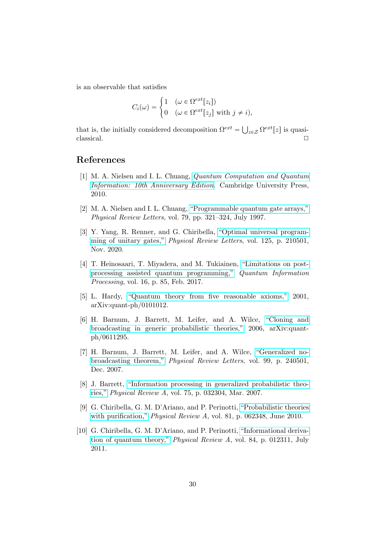is an observable that satisfies

$$
C_i(\omega) = \begin{cases} 1 & (\omega \in \Omega^{ext}[z_i]) \\ 0 & (\omega \in \Omega^{ext}[z_j] \text{ with } j \neq i), \end{cases}
$$

that is, the initially considered decomposition  $\Omega^{ext} = \bigcup_{z \in \mathcal{Z}} \Omega^{ext}[z]$  is quasi- $\Box$ classical.  $\Box$ 

## References

- <span id="page-29-0"></span>[1] M. A. Nielsen and I. L. Chuang, [Quantum Computation and Quantum](https://doi.org/10.1017/CBO9780511976667) [Information: 10th Anniversary Edition](https://doi.org/10.1017/CBO9780511976667). Cambridge University Press, 2010.
- <span id="page-29-1"></span>[2] M. A. Nielsen and I. L. Chuang, ["Programmable quantum gate arrays,"](https://doi.org/10.1103/PhysRevLett.79.321) Physical Review Letters, vol. 79, pp. 321–324, July 1997.
- <span id="page-29-2"></span>[3] Y. Yang, R. Renner, and G. Chiribella, ["Optimal universal program](https://doi.org/10.1103/PhysRevLett.125.210501)[ming of unitary gates,"](https://doi.org/10.1103/PhysRevLett.125.210501) Physical Review Letters, vol. 125, p. 210501, Nov. 2020.
- <span id="page-29-3"></span>[4] T. Heinosaari, T. Miyadera, and M. Tukiainen, ["Limitations on post](https://doi.org/https://doi.org/10.1007/s11128-017-1541-y)[processing assisted quantum programming,"](https://doi.org/https://doi.org/10.1007/s11128-017-1541-y) Quantum Information Processing, vol. 16, p. 85, Feb. 2017.
- <span id="page-29-4"></span>[5] L. Hardy, ["Quantum theory from five reasonable axioms,"](http://arxiv.org/abs/arXiv:quant-ph/0101012) 2001, arXiv:quant-ph/0101012.
- <span id="page-29-5"></span>[6] H. Barnum, J. Barrett, M. Leifer, and A. Wilce, ["Cloning and](http://arxiv.org/abs/arXiv:quant-ph/0611295) [broadcasting in generic probabilistic theories,"](http://arxiv.org/abs/arXiv:quant-ph/0611295) 2006, arXiv:quantph/0611295.
- <span id="page-29-6"></span>[7] H. Barnum, J. Barrett, M. Leifer, and A. Wilce, ["Generalized no](https://doi.org/10.1103/PhysRevLett.99.240501)[broadcasting theorem,"](https://doi.org/10.1103/PhysRevLett.99.240501) Physical Review Letters, vol. 99, p. 240501, Dec. 2007.
- <span id="page-29-7"></span>[8] J. Barrett, ["Information processing in generalized probabilistic theo](https://doi.org/10.1103/PhysRevA.75.032304)[ries,"](https://doi.org/10.1103/PhysRevA.75.032304) Physical Review A, vol. 75, p. 032304, Mar. 2007.
- <span id="page-29-8"></span>[9] G. Chiribella, G. M. D'Ariano, and P. Perinotti, ["Probabilistic theories](https://doi.org/10.1103/PhysRevA.81.062348) [with purification,"](https://doi.org/10.1103/PhysRevA.81.062348) *Physical Review A*, vol. 81, p. 062348, June 2010.
- <span id="page-29-9"></span>[10] G. Chiribella, G. M. D'Ariano, and P. Perinotti, ["Informational deriva](https://doi.org/10.1103/PhysRevA.84.012311)[tion of quantum theory,"](https://doi.org/10.1103/PhysRevA.84.012311) Physical Review A, vol. 84, p. 012311, July 2011.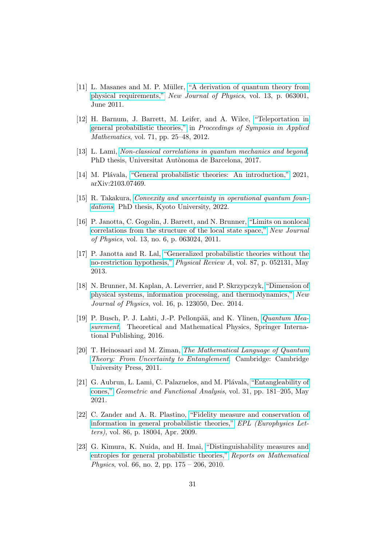- <span id="page-30-0"></span>[11] L. Masanes and M. P. M¨uller, ["A derivation of quantum theory from](https://doi.org/10.1088/1367-2630/13/6/063001) [physical requirements,"](https://doi.org/10.1088/1367-2630/13/6/063001) New Journal of Physics, vol. 13, p. 063001, June 2011.
- <span id="page-30-1"></span>[12] H. Barnum, J. Barrett, M. Leifer, and A. Wilce, ["Teleportation in](https://doi.org/https://doi.org/10.1090/psapm/071) [general probabilistic theories,"](https://doi.org/https://doi.org/10.1090/psapm/071) in Proceedings of Symposia in Applied Mathematics, vol. 71, pp. 25–48, 2012.
- <span id="page-30-2"></span>[13] L. Lami, [Non-classical correlations in quantum mechanics and beyond](https://ddd.uab.cat/record/187745). PhD thesis, Universitat Autònoma de Barcelona, 2017.
- <span id="page-30-3"></span>[14] M. Plávala, ["General probabilistic theories: An introduction,"](http://arxiv.org/abs/arXiv:2103.07469) 2021, arXiv:2103.07469.
- <span id="page-30-4"></span>[15] R. Takakura, [Convexity and uncertainty in operational quantum foun](https://doi.org/https://doi.org/10.48550/arXiv.2202.13834)[dations](https://doi.org/https://doi.org/10.48550/arXiv.2202.13834). PhD thesis, Kyoto University, 2022.
- <span id="page-30-5"></span>[16] P. Janotta, C. Gogolin, J. Barrett, and N. Brunner, ["Limits on nonlocal](http://stacks.iop.org/1367-2630/13/i=6/a=063024) [correlations from the structure of the local state space,"](http://stacks.iop.org/1367-2630/13/i=6/a=063024) New Journal of Physics, vol. 13, no. 6, p. 063024, 2011.
- <span id="page-30-6"></span>[17] P. Janotta and R. Lal, ["Generalized probabilistic theories without the](https://doi.org/10.1103/PhysRevA.87.052131) [no-restriction hypothesis,"](https://doi.org/10.1103/PhysRevA.87.052131) Physical Review A, vol. 87, p. 052131, May 2013.
- <span id="page-30-7"></span>[18] N. Brunner, M. Kaplan, A. Leverrier, and P. Skrzypczyk, ["Dimension of](https://doi.org/10.1088/1367-2630/16/12/123050) [physical systems, information processing, and thermodynamics,"](https://doi.org/10.1088/1367-2630/16/12/123050) New Journal of Physics, vol. 16, p. 123050, Dec. 2014.
- <span id="page-30-8"></span>[19] P. Busch, P. J. Lahti, J.-P. Pellonpää, and K. Ylinen, *Quantum Mea*[surement](https://doi.org/https://doi.org/10.1007/978-3-319-43389-9). Theoretical and Mathematical Physics, Springer International Publishing, 2016.
- <span id="page-30-9"></span>[20] T. Heinosaari and M. Ziman, [The Mathematical Language of Quantum](https://doi.org/10.1017/CBO9781139031103) [Theory: From Uncertainty to Entanglement](https://doi.org/10.1017/CBO9781139031103). Cambridge: Cambridge University Press, 2011.
- <span id="page-30-10"></span>[21] G. Aubrun, L. Lami, C. Palazuelos, and M. Plávala, ["Entangleability of](https://doi.org/https://doi.org/10.1007/s00039-021-00565-5) [cones,"](https://doi.org/https://doi.org/10.1007/s00039-021-00565-5) Geometric and Functional Analysis, vol. 31, pp. 181–205, May 2021.
- <span id="page-30-11"></span>[22] C. Zander and A. R. Plastino, ["Fidelity measure and conservation of](https://doi.org/10.1209/0295-5075/86/18004) [information in general probabilistic theories,"](https://doi.org/10.1209/0295-5075/86/18004) EPL (Europhysics Letters), vol. 86, p. 18004, Apr. 2009.
- <span id="page-30-12"></span>[23] G. Kimura, K. Nuida, and H. Imai, ["Distinguishability measures and](https://doi.org/https://doi.org/10.1016/S0034-4877(10)00025-X) [entropies for general probabilistic theories,"](https://doi.org/https://doi.org/10.1016/S0034-4877(10)00025-X) Reports on Mathematical Physics, vol. 66, no. 2, pp. 175 – 206, 2010.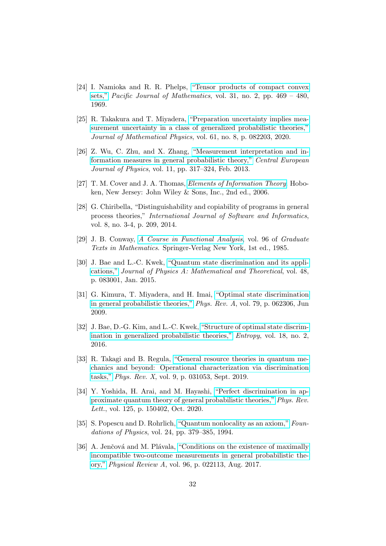- <span id="page-31-0"></span>[24] I. Namioka and R. R. Phelps, ["Tensor products of compact convex](http://projecteuclid.org/euclid.pjm/1102977882) [sets,"](http://projecteuclid.org/euclid.pjm/1102977882) Pacific Journal of Mathematics, vol. 31, no. 2, pp.  $469 - 480$ , 1969.
- <span id="page-31-1"></span>[25] R. Takakura and T. Miyadera, ["Preparation uncertainty implies mea](https://doi.org/10.1063/5.0017854)[surement uncertainty in a class of generalized probabilistic theories,"](https://doi.org/10.1063/5.0017854) Journal of Mathematical Physics, vol. 61, no. 8, p. 082203, 2020.
- <span id="page-31-2"></span>[26] Z. Wu, C. Zhu, and X. Zhang, ["Measurement interpretation and in](https://doi.org/https://doi.org/10.2478/s11534-012-0169-x)[formation measures in general probabilistic theory,"](https://doi.org/https://doi.org/10.2478/s11534-012-0169-x) Central European Journal of Physics, vol. 11, pp. 317–324, Feb. 2013.
- <span id="page-31-3"></span>[27] T. M. Cover and J. A. Thomas, [Elements of Information Theory](https://doi.org/10.1002/047174882X). Hoboken, New Jersey: John Wiley & Sons, Inc., 2nd ed., 2006.
- <span id="page-31-4"></span>[28] G. Chiribella, "Distinguishability and copiability of programs in general process theories," International Journal of Software and Informatics, vol. 8, no. 3-4, p. 209, 2014.
- <span id="page-31-5"></span>[29] J. B. Conway, [A Course in Functional Analysis](https://doi.org/10.1007/978-1-4757-3828-5), vol. 96 of Graduate Texts in Mathematics. Springer-Verlag New York, 1st ed., 1985.
- <span id="page-31-6"></span>[30] J. Bae and L.-C. Kwek, ["Quantum state discrimination and its appli](https://doi.org/10.1088/1751-8113/48/8/083001)[cations,"](https://doi.org/10.1088/1751-8113/48/8/083001) Journal of Physics A: Mathematical and Theoretical, vol. 48, p. 083001, Jan. 2015.
- <span id="page-31-7"></span>[31] G. Kimura, T. Miyadera, and H. Imai, ["Optimal state discrimination](https://doi.org/10.1103/PhysRevA.79.062306) [in general probabilistic theories,"](https://doi.org/10.1103/PhysRevA.79.062306) Phys. Rev. A, vol. 79, p. 062306, Jun 2009.
- <span id="page-31-8"></span>[32] J. Bae, D.-G. Kim, and L.-C. Kwek, ["Structure of optimal state discrim](https://doi.org/10.3390/e18020039)[ination in generalized probabilistic theories,"](https://doi.org/10.3390/e18020039) Entropy, vol. 18, no. 2, 2016.
- <span id="page-31-9"></span>[33] R. Takagi and B. Regula, ["General resource theories in quantum me](https://doi.org/10.1103/PhysRevX.9.031053)[chanics and beyond: Operational characterization via discrimination](https://doi.org/10.1103/PhysRevX.9.031053) [tasks,"](https://doi.org/10.1103/PhysRevX.9.031053) Phys. Rev. X, vol. 9, p. 031053, Sept. 2019.
- <span id="page-31-10"></span>[34] Y. Yoshida, H. Arai, and M. Hayashi, ["Perfect discrimination in ap](https://doi.org/10.1103/PhysRevLett.125.150402)[proximate quantum theory of general probabilistic theories,"](https://doi.org/10.1103/PhysRevLett.125.150402) Phys. Rev. Lett., vol. 125, p. 150402, Oct. 2020.
- <span id="page-31-11"></span>[35] S. Popescu and D. Rohrlich, ["Quantum nonlocality as an axiom,"](https://doi.org/https://doi.org/10.1007/BF02058098) Foundations of Physics, vol. 24, pp. 379–385, 1994.
- <span id="page-31-12"></span>[36] A. Jenčová and M. Plávala, ["Conditions on the existence of maximally](https://doi.org/10.1103/PhysRevA.96.022113) [incompatible two-outcome measurements in general probabilistic the](https://doi.org/10.1103/PhysRevA.96.022113)[ory,"](https://doi.org/10.1103/PhysRevA.96.022113) Physical Review A, vol. 96, p. 022113, Aug. 2017.